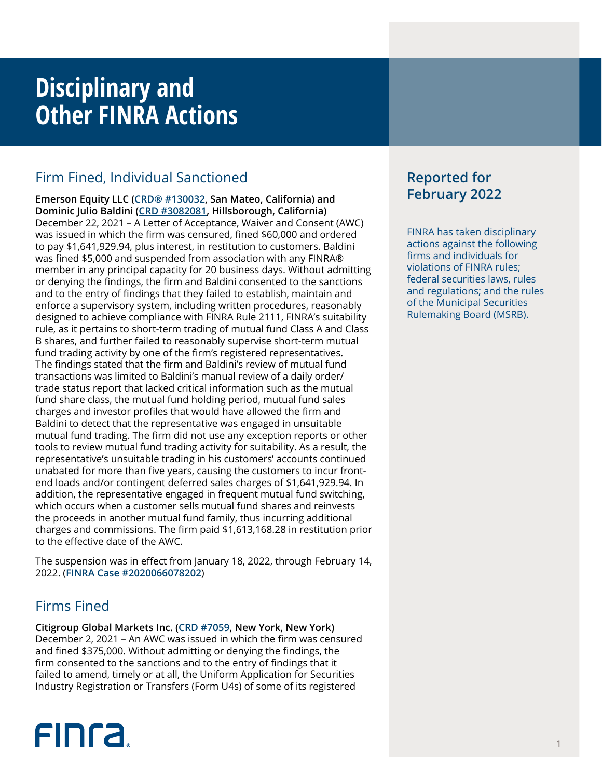## **Disciplinary and Other FINRA Actions**

## Firm Fined, Individual Sanctioned

**Emerson Equity LLC ([CRD® #130032,](http://brokercheck.finra.org/firm/summary/130032) San Mateo, California) and Dominic Julio Baldini [\(CRD #3082081](http://brokercheck.finra.org/individual/summary/3082081), Hillsborough, California)** December 22, 2021 – A Letter of Acceptance, Waiver and Consent (AWC) was issued in which the firm was censured, fined \$60,000 and ordered to pay \$1,641,929.94, plus interest, in restitution to customers. Baldini was fined \$5,000 and suspended from association with any FINRA® member in any principal capacity for 20 business days. Without admitting or denying the findings, the firm and Baldini consented to the sanctions and to the entry of findings that they failed to establish, maintain and enforce a supervisory system, including written procedures, reasonably designed to achieve compliance with FINRA Rule 2111, FINRA's suitability rule, as it pertains to short-term trading of mutual fund Class A and Class B shares, and further failed to reasonably supervise short-term mutual fund trading activity by one of the firm's registered representatives. The findings stated that the firm and Baldini's review of mutual fund transactions was limited to Baldini's manual review of a daily order/ trade status report that lacked critical information such as the mutual fund share class, the mutual fund holding period, mutual fund sales charges and investor profiles that would have allowed the firm and Baldini to detect that the representative was engaged in unsuitable mutual fund trading. The firm did not use any exception reports or other tools to review mutual fund trading activity for suitability. As a result, the representative's unsuitable trading in his customers' accounts continued unabated for more than five years, causing the customers to incur frontend loads and/or contingent deferred sales charges of \$1,641,929.94. In addition, the representative engaged in frequent mutual fund switching, which occurs when a customer sells mutual fund shares and reinvests the proceeds in another mutual fund family, thus incurring additional charges and commissions. The firm paid \$1,613,168.28 in restitution prior to the effective date of the AWC.

The suspension was in effect from January 18, 2022, through February 14, 2022. (**[FINRA Case #2020066078202](https://www.finra.org/rules-guidance/oversight-enforcement/finra-disciplinary-actions?search=2020066078202)**)

## Firms Fined

**Citigroup Global Markets Inc. ([CRD #7059,](http://brokercheck.finra.org/firm/summary/7059) New York, New York)** December 2, 2021 – An AWC was issued in which the firm was censured and fined \$375,000. Without admitting or denying the findings, the firm consented to the sanctions and to the entry of findings that it failed to amend, timely or at all, the Uniform Application for Securities Industry Registration or Transfers (Form U4s) of some of its registered

# **FINCA**

## **Reported for February 2022**

FINRA has taken disciplinary actions against the following firms and individuals for violations of FINRA rules; federal securities laws, rules and regulations; and the rules of the Municipal Securities Rulemaking Board (MSRB).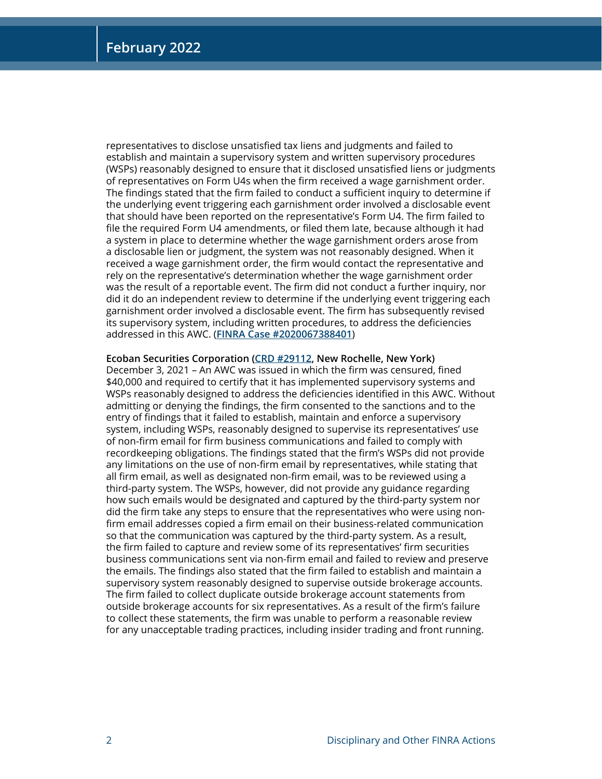representatives to disclose unsatisfied tax liens and judgments and failed to establish and maintain a supervisory system and written supervisory procedures (WSPs) reasonably designed to ensure that it disclosed unsatisfied liens or judgments of representatives on Form U4s when the firm received a wage garnishment order. The findings stated that the firm failed to conduct a sufficient inquiry to determine if the underlying event triggering each garnishment order involved a disclosable event that should have been reported on the representative's Form U4. The firm failed to file the required Form U4 amendments, or filed them late, because although it had a system in place to determine whether the wage garnishment orders arose from a disclosable lien or judgment, the system was not reasonably designed. When it received a wage garnishment order, the firm would contact the representative and rely on the representative's determination whether the wage garnishment order was the result of a reportable event. The firm did not conduct a further inquiry, nor did it do an independent review to determine if the underlying event triggering each garnishment order involved a disclosable event. The firm has subsequently revised its supervisory system, including written procedures, to address the deficiencies addressed in this AWC. (**[FINRA Case #2020067388401](https://www.finra.org/rules-guidance/oversight-enforcement/finra-disciplinary-actions?search=2020067388401)**)

#### **Ecoban Securities Corporation [\(CRD #29112](http://brokercheck.finra.org/firm/summary/29112), New Rochelle, New York)**

December 3, 2021 – An AWC was issued in which the firm was censured, fined \$40,000 and required to certify that it has implemented supervisory systems and WSPs reasonably designed to address the deficiencies identified in this AWC. Without admitting or denying the findings, the firm consented to the sanctions and to the entry of findings that it failed to establish, maintain and enforce a supervisory system, including WSPs, reasonably designed to supervise its representatives' use of non-firm email for firm business communications and failed to comply with recordkeeping obligations. The findings stated that the firm's WSPs did not provide any limitations on the use of non-firm email by representatives, while stating that all firm email, as well as designated non-firm email, was to be reviewed using a third-party system. The WSPs, however, did not provide any guidance regarding how such emails would be designated and captured by the third-party system nor did the firm take any steps to ensure that the representatives who were using nonfirm email addresses copied a firm email on their business-related communication so that the communication was captured by the third-party system. As a result, the firm failed to capture and review some of its representatives' firm securities business communications sent via non-firm email and failed to review and preserve the emails. The findings also stated that the firm failed to establish and maintain a supervisory system reasonably designed to supervise outside brokerage accounts. The firm failed to collect duplicate outside brokerage account statements from outside brokerage accounts for six representatives. As a result of the firm's failure to collect these statements, the firm was unable to perform a reasonable review for any unacceptable trading practices, including insider trading and front running.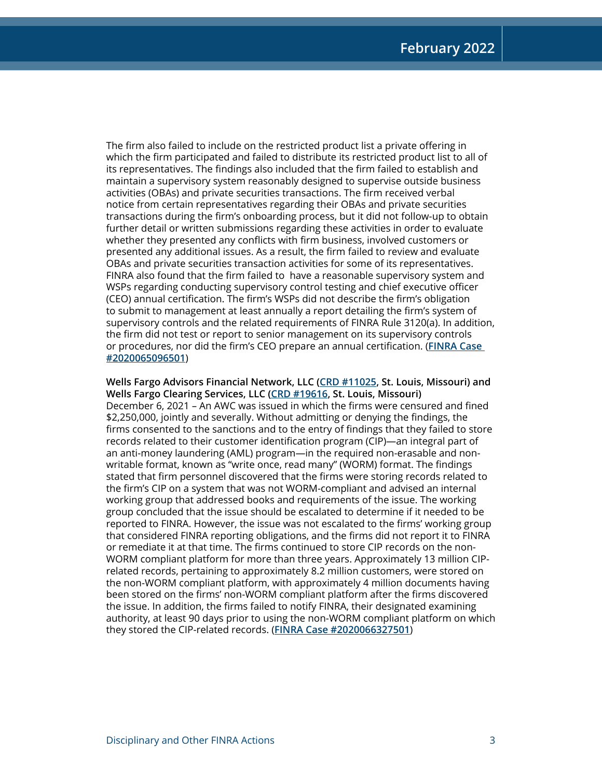The firm also failed to include on the restricted product list a private offering in which the firm participated and failed to distribute its restricted product list to all of its representatives. The findings also included that the firm failed to establish and maintain a supervisory system reasonably designed to supervise outside business activities (OBAs) and private securities transactions. The firm received verbal notice from certain representatives regarding their OBAs and private securities transactions during the firm's onboarding process, but it did not follow-up to obtain further detail or written submissions regarding these activities in order to evaluate whether they presented any conflicts with firm business, involved customers or presented any additional issues. As a result, the firm failed to review and evaluate OBAs and private securities transaction activities for some of its representatives. FINRA also found that the firm failed to have a reasonable supervisory system and WSPs regarding conducting supervisory control testing and chief executive officer (CEO) annual certification. The firm's WSPs did not describe the firm's obligation to submit to management at least annually a report detailing the firm's system of supervisory controls and the related requirements of FINRA Rule 3120(a). In addition, the firm did not test or report to senior management on its supervisory controls or procedures, nor did the firm's CEO prepare an annual certification. (**[FINRA Case](https://www.finra.org/rules-guidance/oversight-enforcement/finra-disciplinary-actions?search=2020065096501)  [#2020065096501](https://www.finra.org/rules-guidance/oversight-enforcement/finra-disciplinary-actions?search=2020065096501)**)

**Wells Fargo Advisors Financial Network, LLC [\(CRD #11025,](http://brokercheck.finra.org/firm/summary/11025) St. Louis, Missouri) and Wells Fargo Clearing Services, LLC ([CRD #19616](http://brokercheck.finra.org/firm/summary/19616), St. Louis, Missouri)** December 6, 2021 – An AWC was issued in which the firms were censured and fined \$2,250,000, jointly and severally. Without admitting or denying the findings, the firms consented to the sanctions and to the entry of findings that they failed to store records related to their customer identification program (CIP)—an integral part of an anti-money laundering (AML) program—in the required non-erasable and nonwritable format, known as "write once, read many" (WORM) format. The findings stated that firm personnel discovered that the firms were storing records related to the firm's CIP on a system that was not WORM-compliant and advised an internal working group that addressed books and requirements of the issue. The working group concluded that the issue should be escalated to determine if it needed to be reported to FINRA. However, the issue was not escalated to the firms' working group that considered FINRA reporting obligations, and the firms did not report it to FINRA or remediate it at that time. The firms continued to store CIP records on the non-WORM compliant platform for more than three years. Approximately 13 million CIPrelated records, pertaining to approximately 8.2 million customers, were stored on the non-WORM compliant platform, with approximately 4 million documents having been stored on the firms' non-WORM compliant platform after the firms discovered the issue. In addition, the firms failed to notify FINRA, their designated examining authority, at least 90 days prior to using the non-WORM compliant platform on which they stored the CIP-related records. (**[FINRA Case #2020066327501](https://www.finra.org/rules-guidance/oversight-enforcement/finra-disciplinary-actions?search=2020066327501)**)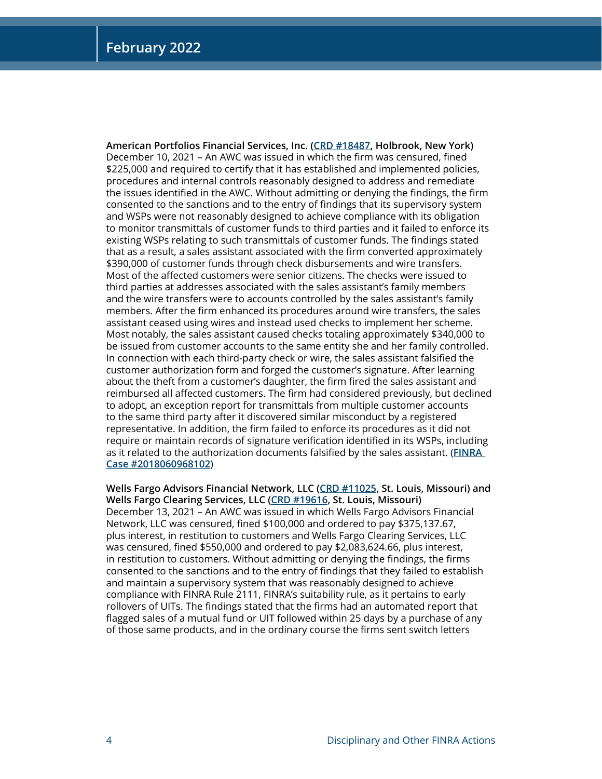**American Portfolios Financial Services, Inc. [\(CRD #18487,](http://brokercheck.finra.org/firm/summary/18487) Holbrook, New York)** December 10, 2021 – An AWC was issued in which the firm was censured, fined \$225,000 and required to certify that it has established and implemented policies, procedures and internal controls reasonably designed to address and remediate the issues identified in the AWC. Without admitting or denying the findings, the firm consented to the sanctions and to the entry of findings that its supervisory system and WSPs were not reasonably designed to achieve compliance with its obligation to monitor transmittals of customer funds to third parties and it failed to enforce its existing WSPs relating to such transmittals of customer funds. The findings stated that as a result, a sales assistant associated with the firm converted approximately \$390,000 of customer funds through check disbursements and wire transfers. Most of the affected customers were senior citizens. The checks were issued to third parties at addresses associated with the sales assistant's family members and the wire transfers were to accounts controlled by the sales assistant's family members. After the firm enhanced its procedures around wire transfers, the sales assistant ceased using wires and instead used checks to implement her scheme. Most notably, the sales assistant caused checks totaling approximately \$340,000 to be issued from customer accounts to the same entity she and her family controlled. In connection with each third-party check or wire, the sales assistant falsified the customer authorization form and forged the customer's signature. After learning about the theft from a customer's daughter, the firm fired the sales assistant and reimbursed all affected customers. The firm had considered previously, but declined to adopt, an exception report for transmittals from multiple customer accounts to the same third party after it discovered similar misconduct by a registered representative. In addition, the firm failed to enforce its procedures as it did not require or maintain records of signature verification identified in its WSPs, including as it related to the authorization documents falsified by the sales assistant. (**[FINRA](https://www.finra.org/rules-guidance/oversight-enforcement/finra-disciplinary-actions?search=2018060968102)  [Case #2018060968102](https://www.finra.org/rules-guidance/oversight-enforcement/finra-disciplinary-actions?search=2018060968102)**)

**Wells Fargo Advisors Financial Network, LLC [\(CRD #11025,](http://brokercheck.finra.org/firm/summary/11025) St. Louis, Missouri) and Wells Fargo Clearing Services, LLC ([CRD #19616](http://brokercheck.finra.org/firm/summary/19616), St. Louis, Missouri)** December 13, 2021 – An AWC was issued in which Wells Fargo Advisors Financial Network, LLC was censured, fined \$100,000 and ordered to pay \$375,137.67, plus interest, in restitution to customers and Wells Fargo Clearing Services, LLC was censured, fined \$550,000 and ordered to pay \$2,083,624.66, plus interest, in restitution to customers. Without admitting or denying the findings, the firms consented to the sanctions and to the entry of findings that they failed to establish and maintain a supervisory system that was reasonably designed to achieve compliance with FINRA Rule 2111, FINRA's suitability rule, as it pertains to early rollovers of UITs. The findings stated that the firms had an automated report that flagged sales of a mutual fund or UIT followed within 25 days by a purchase of any of those same products, and in the ordinary course the firms sent switch letters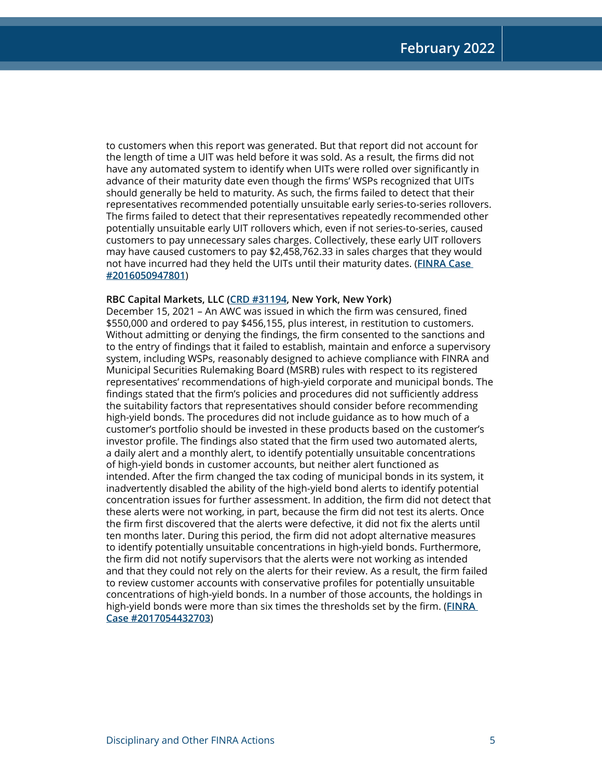to customers when this report was generated. But that report did not account for the length of time a UIT was held before it was sold. As a result, the firms did not have any automated system to identify when UITs were rolled over significantly in advance of their maturity date even though the firms' WSPs recognized that UITs should generally be held to maturity. As such, the firms failed to detect that their representatives recommended potentially unsuitable early series-to-series rollovers. The firms failed to detect that their representatives repeatedly recommended other potentially unsuitable early UIT rollovers which, even if not series-to-series, caused customers to pay unnecessary sales charges. Collectively, these early UIT rollovers may have caused customers to pay \$2,458,762.33 in sales charges that they would not have incurred had they held the UITs until their maturity dates. (**[FINRA Case](https://www.finra.org/rules-guidance/oversight-enforcement/finra-disciplinary-actions?search=2016050947801)  [#2016050947801](https://www.finra.org/rules-guidance/oversight-enforcement/finra-disciplinary-actions?search=2016050947801)**)

#### **RBC Capital Markets, LLC [\(CRD #31194,](http://brokercheck.finra.org/firm/summary/31194) New York, New York)**

December 15, 2021 – An AWC was issued in which the firm was censured, fined \$550,000 and ordered to pay \$456,155, plus interest, in restitution to customers. Without admitting or denying the findings, the firm consented to the sanctions and to the entry of findings that it failed to establish, maintain and enforce a supervisory system, including WSPs, reasonably designed to achieve compliance with FINRA and Municipal Securities Rulemaking Board (MSRB) rules with respect to its registered representatives' recommendations of high-yield corporate and municipal bonds. The findings stated that the firm's policies and procedures did not sufficiently address the suitability factors that representatives should consider before recommending high-yield bonds. The procedures did not include guidance as to how much of a customer's portfolio should be invested in these products based on the customer's investor profile. The findings also stated that the firm used two automated alerts, a daily alert and a monthly alert, to identify potentially unsuitable concentrations of high-yield bonds in customer accounts, but neither alert functioned as intended. After the firm changed the tax coding of municipal bonds in its system, it inadvertently disabled the ability of the high-yield bond alerts to identify potential concentration issues for further assessment. In addition, the firm did not detect that these alerts were not working, in part, because the firm did not test its alerts. Once the firm first discovered that the alerts were defective, it did not fix the alerts until ten months later. During this period, the firm did not adopt alternative measures to identify potentially unsuitable concentrations in high-yield bonds. Furthermore, the firm did not notify supervisors that the alerts were not working as intended and that they could not rely on the alerts for their review. As a result, the firm failed to review customer accounts with conservative profiles for potentially unsuitable concentrations of high-yield bonds. In a number of those accounts, the holdings in high-yield bonds were more than six times the thresholds set by the firm. (**[FINRA](https://www.finra.org/rules-guidance/oversight-enforcement/finra-disciplinary-actions?search=2017054432703)  [Case #2017054432703](https://www.finra.org/rules-guidance/oversight-enforcement/finra-disciplinary-actions?search=2017054432703)**)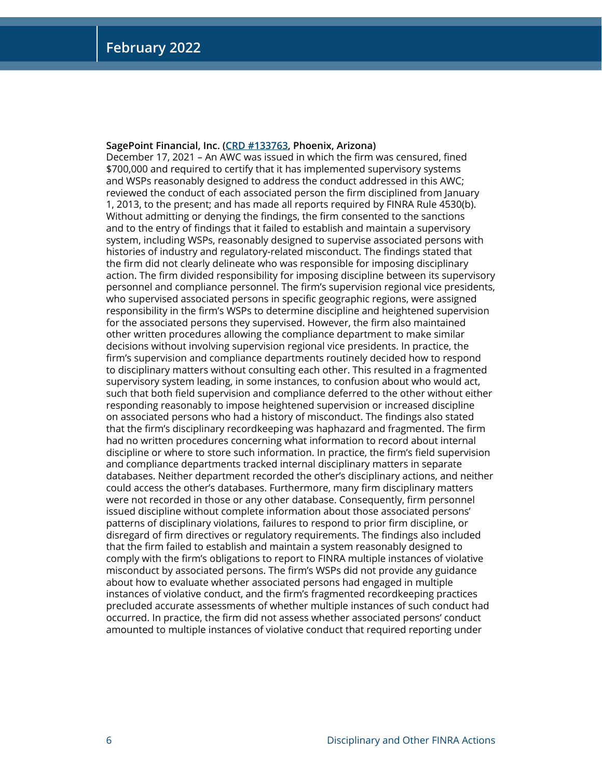#### **SagePoint Financial, Inc. ([CRD #133763,](http://brokercheck.finra.org/firm/summary/133763) Phoenix, Arizona)**

December 17, 2021 – An AWC was issued in which the firm was censured, fined \$700,000 and required to certify that it has implemented supervisory systems and WSPs reasonably designed to address the conduct addressed in this AWC; reviewed the conduct of each associated person the firm disciplined from January 1, 2013, to the present; and has made all reports required by FINRA Rule 4530(b). Without admitting or denying the findings, the firm consented to the sanctions and to the entry of findings that it failed to establish and maintain a supervisory system, including WSPs, reasonably designed to supervise associated persons with histories of industry and regulatory-related misconduct. The findings stated that the firm did not clearly delineate who was responsible for imposing disciplinary action. The firm divided responsibility for imposing discipline between its supervisory personnel and compliance personnel. The firm's supervision regional vice presidents, who supervised associated persons in specific geographic regions, were assigned responsibility in the firm's WSPs to determine discipline and heightened supervision for the associated persons they supervised. However, the firm also maintained other written procedures allowing the compliance department to make similar decisions without involving supervision regional vice presidents. In practice, the firm's supervision and compliance departments routinely decided how to respond to disciplinary matters without consulting each other. This resulted in a fragmented supervisory system leading, in some instances, to confusion about who would act, such that both field supervision and compliance deferred to the other without either responding reasonably to impose heightened supervision or increased discipline on associated persons who had a history of misconduct. The findings also stated that the firm's disciplinary recordkeeping was haphazard and fragmented. The firm had no written procedures concerning what information to record about internal discipline or where to store such information. In practice, the firm's field supervision and compliance departments tracked internal disciplinary matters in separate databases. Neither department recorded the other's disciplinary actions, and neither could access the other's databases. Furthermore, many firm disciplinary matters were not recorded in those or any other database. Consequently, firm personnel issued discipline without complete information about those associated persons' patterns of disciplinary violations, failures to respond to prior firm discipline, or disregard of firm directives or regulatory requirements. The findings also included that the firm failed to establish and maintain a system reasonably designed to comply with the firm's obligations to report to FINRA multiple instances of violative misconduct by associated persons. The firm's WSPs did not provide any guidance about how to evaluate whether associated persons had engaged in multiple instances of violative conduct, and the firm's fragmented recordkeeping practices precluded accurate assessments of whether multiple instances of such conduct had occurred. In practice, the firm did not assess whether associated persons' conduct amounted to multiple instances of violative conduct that required reporting under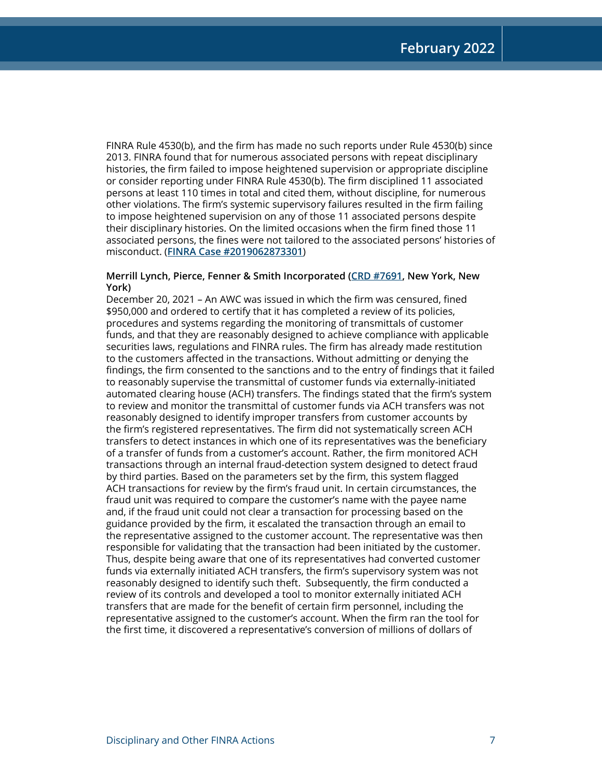FINRA Rule 4530(b), and the firm has made no such reports under Rule 4530(b) since 2013. FINRA found that for numerous associated persons with repeat disciplinary histories, the firm failed to impose heightened supervision or appropriate discipline or consider reporting under FINRA Rule 4530(b). The firm disciplined 11 associated persons at least 110 times in total and cited them, without discipline, for numerous other violations. The firm's systemic supervisory failures resulted in the firm failing to impose heightened supervision on any of those 11 associated persons despite their disciplinary histories. On the limited occasions when the firm fined those 11 associated persons, the fines were not tailored to the associated persons' histories of misconduct. (**[FINRA Case #2019062873301](https://www.finra.org/rules-guidance/oversight-enforcement/finra-disciplinary-actions?search=2019062873301)**)

#### **Merrill Lynch, Pierce, Fenner & Smith Incorporated [\(CRD #7691](http://brokercheck.finra.org/firm/summary/7691), New York, New York)**

December 20, 2021 – An AWC was issued in which the firm was censured, fined \$950,000 and ordered to certify that it has completed a review of its policies, procedures and systems regarding the monitoring of transmittals of customer funds, and that they are reasonably designed to achieve compliance with applicable securities laws, regulations and FINRA rules. The firm has already made restitution to the customers affected in the transactions. Without admitting or denying the findings, the firm consented to the sanctions and to the entry of findings that it failed to reasonably supervise the transmittal of customer funds via externally-initiated automated clearing house (ACH) transfers. The findings stated that the firm's system to review and monitor the transmittal of customer funds via ACH transfers was not reasonably designed to identify improper transfers from customer accounts by the firm's registered representatives. The firm did not systematically screen ACH transfers to detect instances in which one of its representatives was the beneficiary of a transfer of funds from a customer's account. Rather, the firm monitored ACH transactions through an internal fraud-detection system designed to detect fraud by third parties. Based on the parameters set by the firm, this system flagged ACH transactions for review by the firm's fraud unit. In certain circumstances, the fraud unit was required to compare the customer's name with the payee name and, if the fraud unit could not clear a transaction for processing based on the guidance provided by the firm, it escalated the transaction through an email to the representative assigned to the customer account. The representative was then responsible for validating that the transaction had been initiated by the customer. Thus, despite being aware that one of its representatives had converted customer funds via externally initiated ACH transfers, the firm's supervisory system was not reasonably designed to identify such theft. Subsequently, the firm conducted a review of its controls and developed a tool to monitor externally initiated ACH transfers that are made for the benefit of certain firm personnel, including the representative assigned to the customer's account. When the firm ran the tool for the first time, it discovered a representative's conversion of millions of dollars of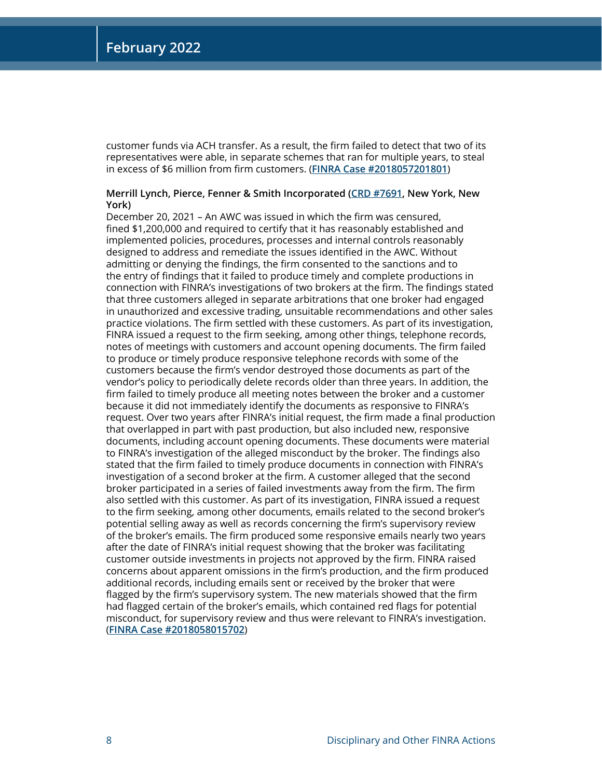customer funds via ACH transfer. As a result, the firm failed to detect that two of its representatives were able, in separate schemes that ran for multiple years, to steal in excess of \$6 million from firm customers. (**[FINRA Case #2018057201801](https://www.finra.org/rules-guidance/oversight-enforcement/finra-disciplinary-actions?search=2018057201801)**)

#### **Merrill Lynch, Pierce, Fenner & Smith Incorporated [\(CRD #7691](http://brokercheck.finra.org/firm/summary/7691), New York, New York)**

December 20, 2021 – An AWC was issued in which the firm was censured, fined \$1,200,000 and required to certify that it has reasonably established and implemented policies, procedures, processes and internal controls reasonably designed to address and remediate the issues identified in the AWC. Without admitting or denying the findings, the firm consented to the sanctions and to the entry of findings that it failed to produce timely and complete productions in connection with FINRA's investigations of two brokers at the firm. The findings stated that three customers alleged in separate arbitrations that one broker had engaged in unauthorized and excessive trading, unsuitable recommendations and other sales practice violations. The firm settled with these customers. As part of its investigation, FINRA issued a request to the firm seeking, among other things, telephone records, notes of meetings with customers and account opening documents. The firm failed to produce or timely produce responsive telephone records with some of the customers because the firm's vendor destroyed those documents as part of the vendor's policy to periodically delete records older than three years. In addition, the firm failed to timely produce all meeting notes between the broker and a customer because it did not immediately identify the documents as responsive to FINRA's request. Over two years after FINRA's initial request, the firm made a final production that overlapped in part with past production, but also included new, responsive documents, including account opening documents. These documents were material to FINRA's investigation of the alleged misconduct by the broker. The findings also stated that the firm failed to timely produce documents in connection with FINRA's investigation of a second broker at the firm. A customer alleged that the second broker participated in a series of failed investments away from the firm. The firm also settled with this customer. As part of its investigation, FINRA issued a request to the firm seeking, among other documents, emails related to the second broker's potential selling away as well as records concerning the firm's supervisory review of the broker's emails. The firm produced some responsive emails nearly two years after the date of FINRA's initial request showing that the broker was facilitating customer outside investments in projects not approved by the firm. FINRA raised concerns about apparent omissions in the firm's production, and the firm produced additional records, including emails sent or received by the broker that were flagged by the firm's supervisory system. The new materials showed that the firm had flagged certain of the broker's emails, which contained red flags for potential misconduct, for supervisory review and thus were relevant to FINRA's investigation. (**[FINRA Case #2018058015702](https://www.finra.org/rules-guidance/oversight-enforcement/finra-disciplinary-actions?search=2018058015702)**)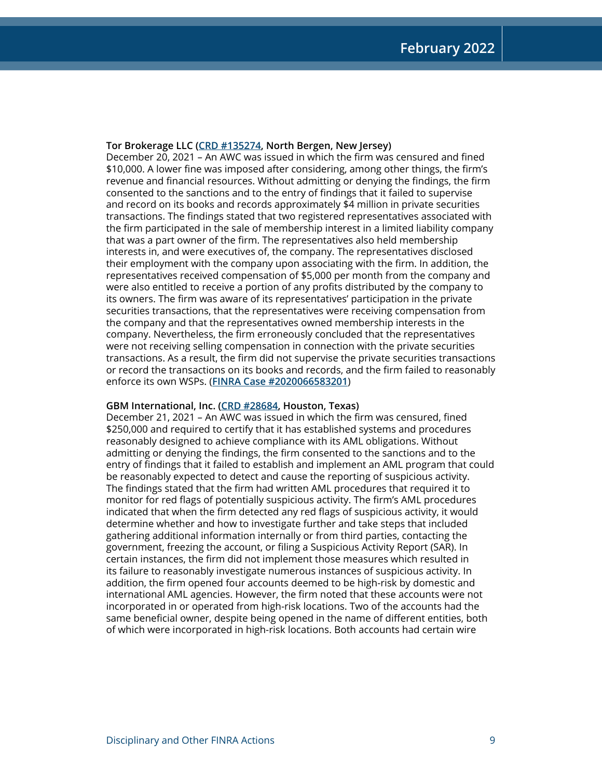#### **Tor Brokerage LLC [\(CRD #135274,](http://brokercheck.finra.org/firm/summary/135274) North Bergen, New Jersey)**

December 20, 2021 – An AWC was issued in which the firm was censured and fined \$10,000. A lower fine was imposed after considering, among other things, the firm's revenue and financial resources. Without admitting or denying the findings, the firm consented to the sanctions and to the entry of findings that it failed to supervise and record on its books and records approximately \$4 million in private securities transactions. The findings stated that two registered representatives associated with the firm participated in the sale of membership interest in a limited liability company that was a part owner of the firm. The representatives also held membership interests in, and were executives of, the company. The representatives disclosed their employment with the company upon associating with the firm. In addition, the representatives received compensation of \$5,000 per month from the company and were also entitled to receive a portion of any profits distributed by the company to its owners. The firm was aware of its representatives' participation in the private securities transactions, that the representatives were receiving compensation from the company and that the representatives owned membership interests in the company. Nevertheless, the firm erroneously concluded that the representatives were not receiving selling compensation in connection with the private securities transactions. As a result, the firm did not supervise the private securities transactions or record the transactions on its books and records, and the firm failed to reasonably enforce its own WSPs. (**[FINRA Case #2020066583201](https://www.finra.org/rules-guidance/oversight-enforcement/finra-disciplinary-actions?search=2020066583201)**)

#### **GBM International, Inc. [\(CRD #28684,](http://brokercheck.finra.org/firm/summary/28684) Houston, Texas)**

December 21, 2021 – An AWC was issued in which the firm was censured, fined \$250,000 and required to certify that it has established systems and procedures reasonably designed to achieve compliance with its AML obligations. Without admitting or denying the findings, the firm consented to the sanctions and to the entry of findings that it failed to establish and implement an AML program that could be reasonably expected to detect and cause the reporting of suspicious activity. The findings stated that the firm had written AML procedures that required it to monitor for red flags of potentially suspicious activity. The firm's AML procedures indicated that when the firm detected any red flags of suspicious activity, it would determine whether and how to investigate further and take steps that included gathering additional information internally or from third parties, contacting the government, freezing the account, or filing a Suspicious Activity Report (SAR). In certain instances, the firm did not implement those measures which resulted in its failure to reasonably investigate numerous instances of suspicious activity. In addition, the firm opened four accounts deemed to be high-risk by domestic and international AML agencies. However, the firm noted that these accounts were not incorporated in or operated from high-risk locations. Two of the accounts had the same beneficial owner, despite being opened in the name of different entities, both of which were incorporated in high-risk locations. Both accounts had certain wire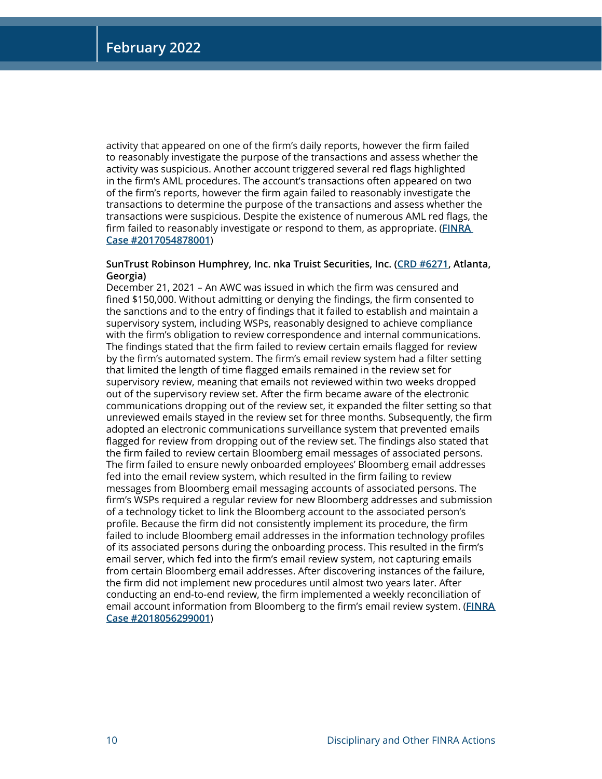activity that appeared on one of the firm's daily reports, however the firm failed to reasonably investigate the purpose of the transactions and assess whether the activity was suspicious. Another account triggered several red flags highlighted in the firm's AML procedures. The account's transactions often appeared on two of the firm's reports, however the firm again failed to reasonably investigate the transactions to determine the purpose of the transactions and assess whether the transactions were suspicious. Despite the existence of numerous AML red flags, the firm failed to reasonably investigate or respond to them, as appropriate. (**[FINRA](https://www.finra.org/rules-guidance/oversight-enforcement/finra-disciplinary-actions?search=2017054878001)  [Case #2017054878001](https://www.finra.org/rules-guidance/oversight-enforcement/finra-disciplinary-actions?search=2017054878001)**)

#### **SunTrust Robinson Humphrey, Inc. nka Truist Securities, Inc. [\(CRD #6271](http://brokercheck.finra.org/firm/summary/6271), Atlanta, Georgia)**

December 21, 2021 – An AWC was issued in which the firm was censured and fined \$150,000. Without admitting or denying the findings, the firm consented to the sanctions and to the entry of findings that it failed to establish and maintain a supervisory system, including WSPs, reasonably designed to achieve compliance with the firm's obligation to review correspondence and internal communications. The findings stated that the firm failed to review certain emails flagged for review by the firm's automated system. The firm's email review system had a filter setting that limited the length of time flagged emails remained in the review set for supervisory review, meaning that emails not reviewed within two weeks dropped out of the supervisory review set. After the firm became aware of the electronic communications dropping out of the review set, it expanded the filter setting so that unreviewed emails stayed in the review set for three months. Subsequently, the firm adopted an electronic communications surveillance system that prevented emails flagged for review from dropping out of the review set. The findings also stated that the firm failed to review certain Bloomberg email messages of associated persons. The firm failed to ensure newly onboarded employees' Bloomberg email addresses fed into the email review system, which resulted in the firm failing to review messages from Bloomberg email messaging accounts of associated persons. The firm's WSPs required a regular review for new Bloomberg addresses and submission of a technology ticket to link the Bloomberg account to the associated person's profile. Because the firm did not consistently implement its procedure, the firm failed to include Bloomberg email addresses in the information technology profiles of its associated persons during the onboarding process. This resulted in the firm's email server, which fed into the firm's email review system, not capturing emails from certain Bloomberg email addresses. After discovering instances of the failure, the firm did not implement new procedures until almost two years later. After conducting an end-to-end review, the firm implemented a weekly reconciliation of email account information from Bloomberg to the firm's email review system. (**[FINRA](https://www.finra.org/rules-guidance/oversight-enforcement/finra-disciplinary-actions?search=2018056299001)  [Case #2018056299001](https://www.finra.org/rules-guidance/oversight-enforcement/finra-disciplinary-actions?search=2018056299001)**)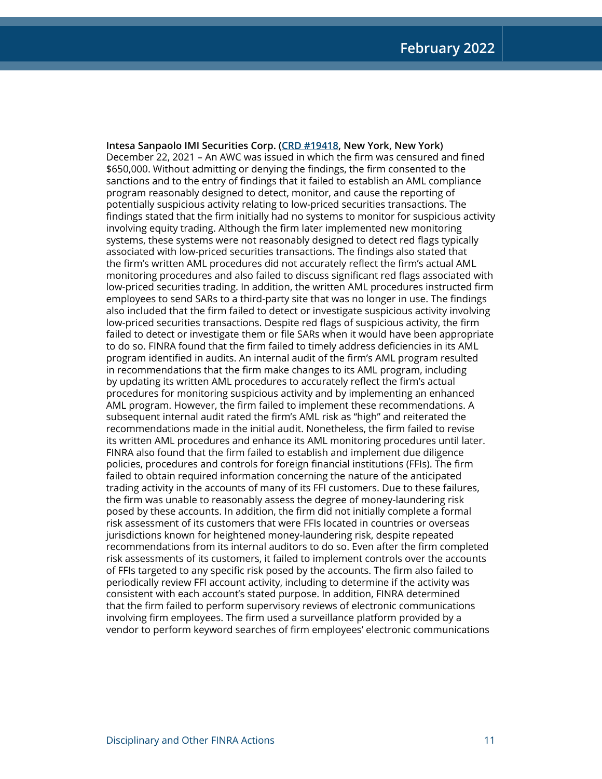**Intesa Sanpaolo IMI Securities Corp. ([CRD #19418](http://brokercheck.finra.org/firm/summary/19418), New York, New York)** December 22, 2021 – An AWC was issued in which the firm was censured and fined \$650,000. Without admitting or denying the findings, the firm consented to the sanctions and to the entry of findings that it failed to establish an AML compliance program reasonably designed to detect, monitor, and cause the reporting of potentially suspicious activity relating to low-priced securities transactions. The findings stated that the firm initially had no systems to monitor for suspicious activity involving equity trading. Although the firm later implemented new monitoring systems, these systems were not reasonably designed to detect red flags typically associated with low-priced securities transactions. The findings also stated that the firm's written AML procedures did not accurately reflect the firm's actual AML monitoring procedures and also failed to discuss significant red flags associated with low-priced securities trading. In addition, the written AML procedures instructed firm employees to send SARs to a third-party site that was no longer in use. The findings also included that the firm failed to detect or investigate suspicious activity involving low-priced securities transactions. Despite red flags of suspicious activity, the firm failed to detect or investigate them or file SARs when it would have been appropriate to do so. FINRA found that the firm failed to timely address deficiencies in its AML program identified in audits. An internal audit of the firm's AML program resulted in recommendations that the firm make changes to its AML program, including by updating its written AML procedures to accurately reflect the firm's actual procedures for monitoring suspicious activity and by implementing an enhanced AML program. However, the firm failed to implement these recommendations. A subsequent internal audit rated the firm's AML risk as "high" and reiterated the recommendations made in the initial audit. Nonetheless, the firm failed to revise its written AML procedures and enhance its AML monitoring procedures until later. FINRA also found that the firm failed to establish and implement due diligence policies, procedures and controls for foreign financial institutions (FFIs). The firm failed to obtain required information concerning the nature of the anticipated trading activity in the accounts of many of its FFI customers. Due to these failures, the firm was unable to reasonably assess the degree of money-laundering risk posed by these accounts. In addition, the firm did not initially complete a formal risk assessment of its customers that were FFIs located in countries or overseas jurisdictions known for heightened money-laundering risk, despite repeated recommendations from its internal auditors to do so. Even after the firm completed risk assessments of its customers, it failed to implement controls over the accounts of FFIs targeted to any specific risk posed by the accounts. The firm also failed to periodically review FFI account activity, including to determine if the activity was consistent with each account's stated purpose. In addition, FINRA determined that the firm failed to perform supervisory reviews of electronic communications involving firm employees. The firm used a surveillance platform provided by a vendor to perform keyword searches of firm employees' electronic communications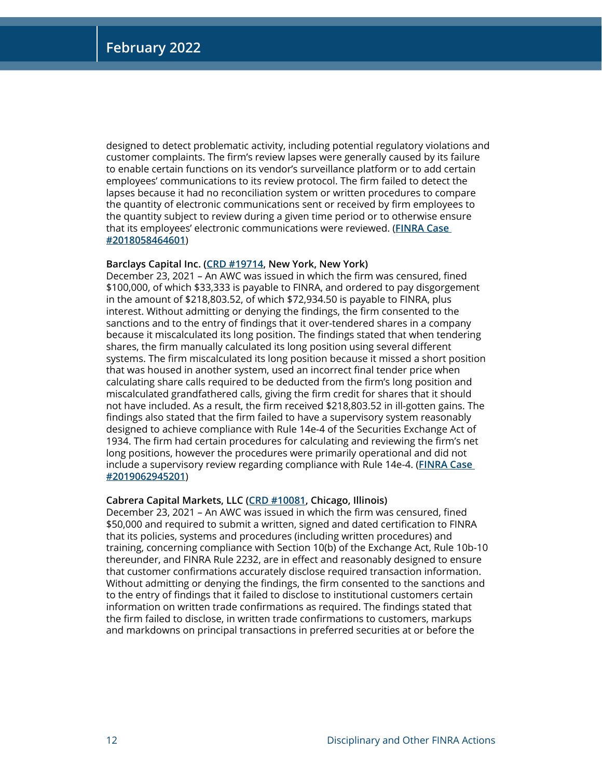designed to detect problematic activity, including potential regulatory violations and customer complaints. The firm's review lapses were generally caused by its failure to enable certain functions on its vendor's surveillance platform or to add certain employees' communications to its review protocol. The firm failed to detect the lapses because it had no reconciliation system or written procedures to compare the quantity of electronic communications sent or received by firm employees to the quantity subject to review during a given time period or to otherwise ensure that its employees' electronic communications were reviewed. (**[FINRA Case](https://www.finra.org/rules-guidance/oversight-enforcement/finra-disciplinary-actions?search=2018058464601)  [#2018058464601](https://www.finra.org/rules-guidance/oversight-enforcement/finra-disciplinary-actions?search=2018058464601)**)

#### **Barclays Capital Inc. [\(CRD #19714,](http://brokercheck.finra.org/firm/summary/19714) New York, New York)**

December 23, 2021 – An AWC was issued in which the firm was censured, fined \$100,000, of which \$33,333 is payable to FINRA, and ordered to pay disgorgement in the amount of \$218,803.52, of which \$72,934.50 is payable to FINRA, plus interest. Without admitting or denying the findings, the firm consented to the sanctions and to the entry of findings that it over-tendered shares in a company because it miscalculated its long position. The findings stated that when tendering shares, the firm manually calculated its long position using several different systems. The firm miscalculated its long position because it missed a short position that was housed in another system, used an incorrect final tender price when calculating share calls required to be deducted from the firm's long position and miscalculated grandfathered calls, giving the firm credit for shares that it should not have included. As a result, the firm received \$218,803.52 in ill-gotten gains. The findings also stated that the firm failed to have a supervisory system reasonably designed to achieve compliance with Rule 14e-4 of the Securities Exchange Act of 1934. The firm had certain procedures for calculating and reviewing the firm's net long positions, however the procedures were primarily operational and did not include a supervisory review regarding compliance with Rule 14e-4. (**[FINRA Case](https://www.finra.org/rules-guidance/oversight-enforcement/finra-disciplinary-actions?search=2019062945201)  [#2019062945201](https://www.finra.org/rules-guidance/oversight-enforcement/finra-disciplinary-actions?search=2019062945201)**)

#### **Cabrera Capital Markets, LLC [\(CRD #10081,](http://brokercheck.finra.org/firm/summary/10081) Chicago, Illinois)**

December 23, 2021 – An AWC was issued in which the firm was censured, fined \$50,000 and required to submit a written, signed and dated certification to FINRA that its policies, systems and procedures (including written procedures) and training, concerning compliance with Section 10(b) of the Exchange Act, Rule 10b-10 thereunder, and FINRA Rule 2232, are in effect and reasonably designed to ensure that customer confirmations accurately disclose required transaction information. Without admitting or denying the findings, the firm consented to the sanctions and to the entry of findings that it failed to disclose to institutional customers certain information on written trade confirmations as required. The findings stated that the firm failed to disclose, in written trade confirmations to customers, markups and markdowns on principal transactions in preferred securities at or before the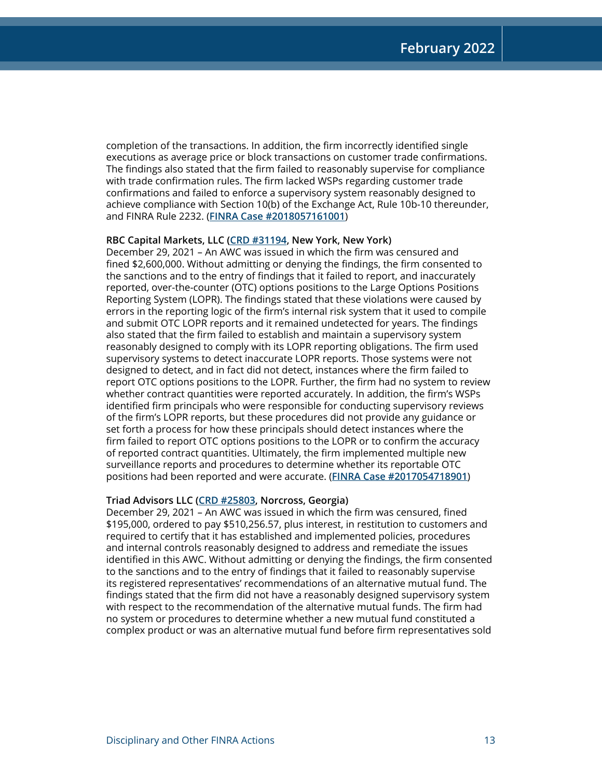completion of the transactions. In addition, the firm incorrectly identified single executions as average price or block transactions on customer trade confirmations. The findings also stated that the firm failed to reasonably supervise for compliance with trade confirmation rules. The firm lacked WSPs regarding customer trade confirmations and failed to enforce a supervisory system reasonably designed to achieve compliance with Section 10(b) of the Exchange Act, Rule 10b-10 thereunder, and FINRA Rule 2232. (**[FINRA Case #2018057161001](https://www.finra.org/rules-guidance/oversight-enforcement/finra-disciplinary-actions?search=2018057161001)**)

#### **RBC Capital Markets, LLC [\(CRD #31194,](http://brokercheck.finra.org/firm/summary/31194) New York, New York)**

December 29, 2021 – An AWC was issued in which the firm was censured and fined \$2,600,000. Without admitting or denying the findings, the firm consented to the sanctions and to the entry of findings that it failed to report, and inaccurately reported, over-the-counter (OTC) options positions to the Large Options Positions Reporting System (LOPR). The findings stated that these violations were caused by errors in the reporting logic of the firm's internal risk system that it used to compile and submit OTC LOPR reports and it remained undetected for years. The findings also stated that the firm failed to establish and maintain a supervisory system reasonably designed to comply with its LOPR reporting obligations. The firm used supervisory systems to detect inaccurate LOPR reports. Those systems were not designed to detect, and in fact did not detect, instances where the firm failed to report OTC options positions to the LOPR. Further, the firm had no system to review whether contract quantities were reported accurately. In addition, the firm's WSPs identified firm principals who were responsible for conducting supervisory reviews of the firm's LOPR reports, but these procedures did not provide any guidance or set forth a process for how these principals should detect instances where the firm failed to report OTC options positions to the LOPR or to confirm the accuracy of reported contract quantities. Ultimately, the firm implemented multiple new surveillance reports and procedures to determine whether its reportable OTC positions had been reported and were accurate. (**[FINRA Case #2017054718901](https://www.finra.org/rules-guidance/oversight-enforcement/finra-disciplinary-actions?search=2017054718901)**)

#### **Triad Advisors LLC [\(CRD #25803,](http://brokercheck.finra.org/firm/summary/25803) Norcross, Georgia)**

December 29, 2021 – An AWC was issued in which the firm was censured, fined \$195,000, ordered to pay \$510,256.57, plus interest, in restitution to customers and required to certify that it has established and implemented policies, procedures and internal controls reasonably designed to address and remediate the issues identified in this AWC. Without admitting or denying the findings, the firm consented to the sanctions and to the entry of findings that it failed to reasonably supervise its registered representatives' recommendations of an alternative mutual fund. The findings stated that the firm did not have a reasonably designed supervisory system with respect to the recommendation of the alternative mutual funds. The firm had no system or procedures to determine whether a new mutual fund constituted a complex product or was an alternative mutual fund before firm representatives sold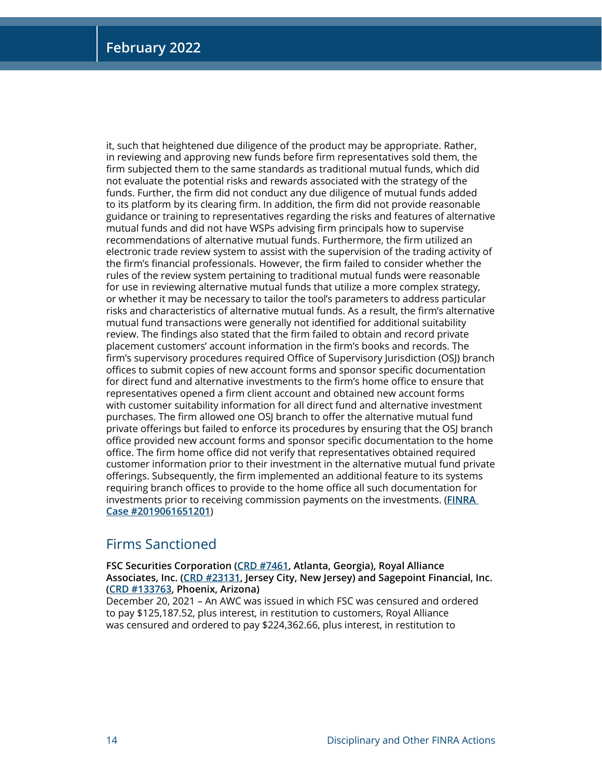it, such that heightened due diligence of the product may be appropriate. Rather, in reviewing and approving new funds before firm representatives sold them, the firm subjected them to the same standards as traditional mutual funds, which did not evaluate the potential risks and rewards associated with the strategy of the funds. Further, the firm did not conduct any due diligence of mutual funds added to its platform by its clearing firm. In addition, the firm did not provide reasonable guidance or training to representatives regarding the risks and features of alternative mutual funds and did not have WSPs advising firm principals how to supervise recommendations of alternative mutual funds. Furthermore, the firm utilized an electronic trade review system to assist with the supervision of the trading activity of the firm's financial professionals. However, the firm failed to consider whether the rules of the review system pertaining to traditional mutual funds were reasonable for use in reviewing alternative mutual funds that utilize a more complex strategy, or whether it may be necessary to tailor the tool's parameters to address particular risks and characteristics of alternative mutual funds. As a result, the firm's alternative mutual fund transactions were generally not identified for additional suitability review. The findings also stated that the firm failed to obtain and record private placement customers' account information in the firm's books and records. The firm's supervisory procedures required Office of Supervisory Jurisdiction (OSJ) branch offices to submit copies of new account forms and sponsor specific documentation for direct fund and alternative investments to the firm's home office to ensure that representatives opened a firm client account and obtained new account forms with customer suitability information for all direct fund and alternative investment purchases. The firm allowed one OSJ branch to offer the alternative mutual fund private offerings but failed to enforce its procedures by ensuring that the OSJ branch office provided new account forms and sponsor specific documentation to the home office. The firm home office did not verify that representatives obtained required customer information prior to their investment in the alternative mutual fund private offerings. Subsequently, the firm implemented an additional feature to its systems requiring branch offices to provide to the home office all such documentation for investments prior to receiving commission payments on the investments. (**[FINRA](https://www.finra.org/rules-guidance/oversight-enforcement/finra-disciplinary-actions?search=2019061651201)  [Case #2019061651201](https://www.finra.org/rules-guidance/oversight-enforcement/finra-disciplinary-actions?search=2019061651201)**)

## Firms Sanctioned

**FSC Securities Corporation ([CRD #7461](http://brokercheck.finra.org/firm/summary/7461), Atlanta, Georgia), Royal Alliance Associates, Inc. ([CRD #23131](http://brokercheck.finra.org/firm/summary/23131), Jersey City, New Jersey) and Sagepoint Financial, Inc. [\(CRD #133763,](http://brokercheck.finra.org/firm/summary/133763) Phoenix, Arizona)**

December 20, 2021 – An AWC was issued in which FSC was censured and ordered to pay \$125,187.52, plus interest, in restitution to customers, Royal Alliance was censured and ordered to pay \$224,362.66, plus interest, in restitution to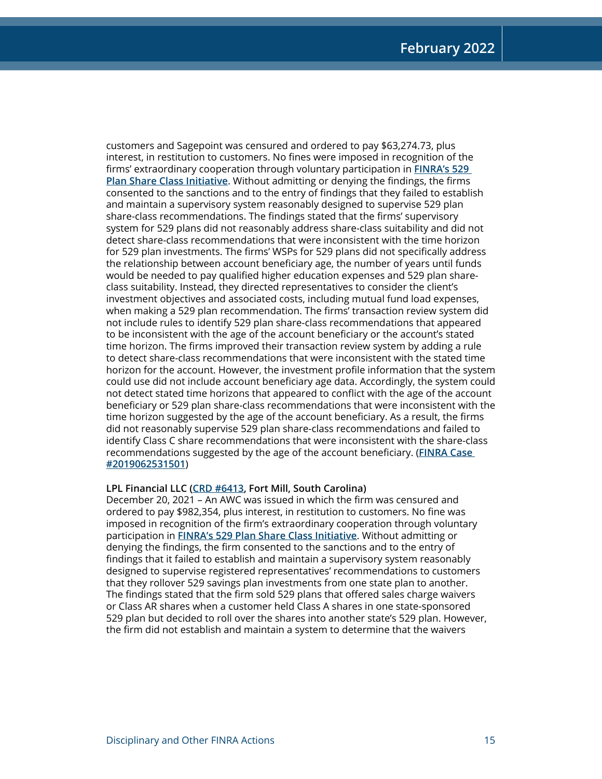customers and Sagepoint was censured and ordered to pay \$63,274.73, plus interest, in restitution to customers. No fines were imposed in recognition of the firms' extraordinary cooperation through voluntary participation in **[FINRA's 529](https://www.finra.org/media-center/news-releases/2019/finra-launches-new-initiative-member-firms-self-report-529-savings-plan)  [Plan Share Class Initiative](https://www.finra.org/media-center/news-releases/2019/finra-launches-new-initiative-member-firms-self-report-529-savings-plan)**. Without admitting or denying the findings, the firms consented to the sanctions and to the entry of findings that they failed to establish and maintain a supervisory system reasonably designed to supervise 529 plan share-class recommendations. The findings stated that the firms' supervisory system for 529 plans did not reasonably address share-class suitability and did not detect share-class recommendations that were inconsistent with the time horizon for 529 plan investments. The firms' WSPs for 529 plans did not specifically address the relationship between account beneficiary age, the number of years until funds would be needed to pay qualified higher education expenses and 529 plan shareclass suitability. Instead, they directed representatives to consider the client's investment objectives and associated costs, including mutual fund load expenses, when making a 529 plan recommendation. The firms' transaction review system did not include rules to identify 529 plan share-class recommendations that appeared to be inconsistent with the age of the account beneficiary or the account's stated time horizon. The firms improved their transaction review system by adding a rule to detect share-class recommendations that were inconsistent with the stated time horizon for the account. However, the investment profile information that the system could use did not include account beneficiary age data. Accordingly, the system could not detect stated time horizons that appeared to conflict with the age of the account beneficiary or 529 plan share-class recommendations that were inconsistent with the time horizon suggested by the age of the account beneficiary. As a result, the firms did not reasonably supervise 529 plan share-class recommendations and failed to identify Class C share recommendations that were inconsistent with the share-class recommendations suggested by the age of the account beneficiary. (**[FINRA Case](https://www.finra.org/rules-guidance/oversight-enforcement/finra-disciplinary-actions?search=2019062531501)  [#2019062531501](https://www.finra.org/rules-guidance/oversight-enforcement/finra-disciplinary-actions?search=2019062531501)**)

#### **LPL Financial LLC [\(CRD #6413](http://brokercheck.finra.org/firm/summary/6413), Fort Mill, South Carolina)**

December 20, 2021 – An AWC was issued in which the firm was censured and ordered to pay \$982,354, plus interest, in restitution to customers. No fine was imposed in recognition of the firm's extraordinary cooperation through voluntary participation in **[FINRA's 529 Plan Share Class Initiative](https://www.finra.org/media-center/news-releases/2019/finra-launches-new-initiative-member-firms-self-report-529-savings-plan)**. Without admitting or denying the findings, the firm consented to the sanctions and to the entry of findings that it failed to establish and maintain a supervisory system reasonably designed to supervise registered representatives' recommendations to customers that they rollover 529 savings plan investments from one state plan to another. The findings stated that the firm sold 529 plans that offered sales charge waivers or Class AR shares when a customer held Class A shares in one state-sponsored 529 plan but decided to roll over the shares into another state's 529 plan. However, the firm did not establish and maintain a system to determine that the waivers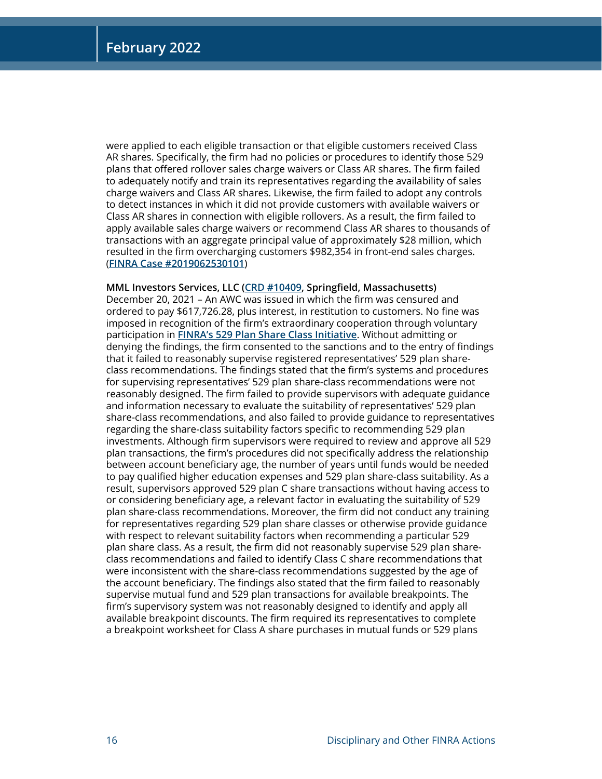were applied to each eligible transaction or that eligible customers received Class AR shares. Specifically, the firm had no policies or procedures to identify those 529 plans that offered rollover sales charge waivers or Class AR shares. The firm failed to adequately notify and train its representatives regarding the availability of sales charge waivers and Class AR shares. Likewise, the firm failed to adopt any controls to detect instances in which it did not provide customers with available waivers or Class AR shares in connection with eligible rollovers. As a result, the firm failed to apply available sales charge waivers or recommend Class AR shares to thousands of transactions with an aggregate principal value of approximately \$28 million, which resulted in the firm overcharging customers \$982,354 in front-end sales charges. (**[FINRA Case #2019062530101](https://www.finra.org/rules-guidance/oversight-enforcement/finra-disciplinary-actions?search=2019062530101)**)

#### **MML Investors Services, LLC [\(CRD #10409,](http://brokercheck.finra.org/firm/summary/10409) Springfield, Massachusetts)**

December 20, 2021 – An AWC was issued in which the firm was censured and ordered to pay \$617,726.28, plus interest, in restitution to customers. No fine was imposed in recognition of the firm's extraordinary cooperation through voluntary participation in **[FINRA's 529 Plan Share Class Initiative](https://www.finra.org/media-center/news-releases/2019/finra-launches-new-initiative-member-firms-self-report-529-savings-plan)**. Without admitting or denying the findings, the firm consented to the sanctions and to the entry of findings that it failed to reasonably supervise registered representatives' 529 plan shareclass recommendations. The findings stated that the firm's systems and procedures for supervising representatives' 529 plan share-class recommendations were not reasonably designed. The firm failed to provide supervisors with adequate guidance and information necessary to evaluate the suitability of representatives' 529 plan share-class recommendations, and also failed to provide guidance to representatives regarding the share-class suitability factors specific to recommending 529 plan investments. Although firm supervisors were required to review and approve all 529 plan transactions, the firm's procedures did not specifically address the relationship between account beneficiary age, the number of years until funds would be needed to pay qualified higher education expenses and 529 plan share-class suitability. As a result, supervisors approved 529 plan C share transactions without having access to or considering beneficiary age, a relevant factor in evaluating the suitability of 529 plan share-class recommendations. Moreover, the firm did not conduct any training for representatives regarding 529 plan share classes or otherwise provide guidance with respect to relevant suitability factors when recommending a particular 529 plan share class. As a result, the firm did not reasonably supervise 529 plan shareclass recommendations and failed to identify Class C share recommendations that were inconsistent with the share-class recommendations suggested by the age of the account beneficiary. The findings also stated that the firm failed to reasonably supervise mutual fund and 529 plan transactions for available breakpoints. The firm's supervisory system was not reasonably designed to identify and apply all available breakpoint discounts. The firm required its representatives to complete a breakpoint worksheet for Class A share purchases in mutual funds or 529 plans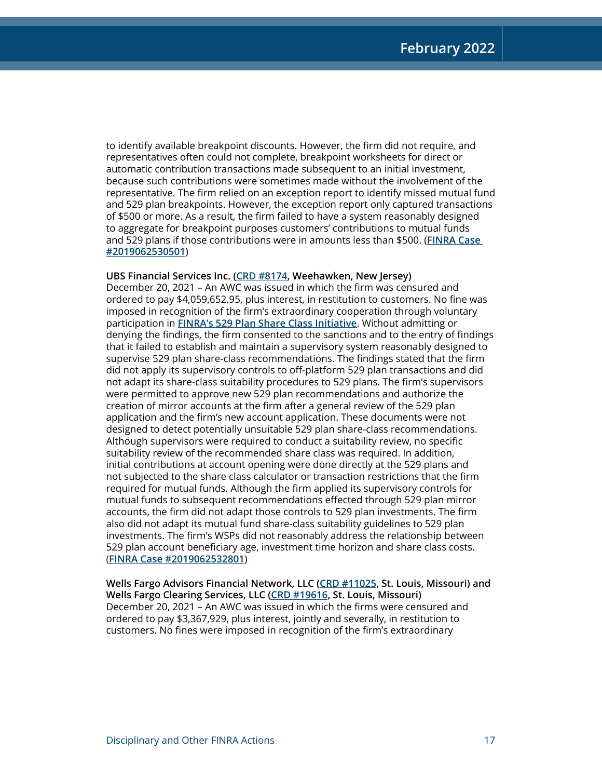to identify available breakpoint discounts. However, the firm did not require, and representatives often could not complete, breakpoint worksheets for direct or automatic contribution transactions made subsequent to an initial investment, because such contributions were sometimes made without the involvement of the representative. The firm relied on an exception report to identify missed mutual fund and 529 plan breakpoints. However, the exception report only captured transactions of \$500 or more. As a result, the firm failed to have a system reasonably designed to aggregate for breakpoint purposes customers' contributions to mutual funds and 529 plans if those contributions were in amounts less than \$500. (**[FINRA Case](https://www.finra.org/rules-guidance/oversight-enforcement/finra-disciplinary-actions?search=2019062530501)  [#2019062530501](https://www.finra.org/rules-guidance/oversight-enforcement/finra-disciplinary-actions?search=2019062530501)**)

#### **UBS Financial Services Inc. [\(CRD #8174](http://brokercheck.finra.org/firm/summary/8174), Weehawken, New Jersey)**

December 20, 2021 – An AWC was issued in which the firm was censured and ordered to pay \$4,059,652.95, plus interest, in restitution to customers. No fine was imposed in recognition of the firm's extraordinary cooperation through voluntary participation in **[FINRA's 529 Plan Share Class Initiative](https://www.finra.org/media-center/news-releases/2019/finra-launches-new-initiative-member-firms-self-report-529-savings-plan)**. Without admitting or denying the findings, the firm consented to the sanctions and to the entry of findings that it failed to establish and maintain a supervisory system reasonably designed to supervise 529 plan share-class recommendations. The findings stated that the firm did not apply its supervisory controls to off-platform 529 plan transactions and did not adapt its share-class suitability procedures to 529 plans. The firm's supervisors were permitted to approve new 529 plan recommendations and authorize the creation of mirror accounts at the firm after a general review of the 529 plan application and the firm's new account application. These documents were not designed to detect potentially unsuitable 529 plan share-class recommendations. Although supervisors were required to conduct a suitability review, no specific suitability review of the recommended share class was required. In addition, initial contributions at account opening were done directly at the 529 plans and not subjected to the share class calculator or transaction restrictions that the firm required for mutual funds. Although the firm applied its supervisory controls for mutual funds to subsequent recommendations effected through 529 plan mirror accounts, the firm did not adapt those controls to 529 plan investments. The firm also did not adapt its mutual fund share-class suitability guidelines to 529 plan investments. The firm's WSPs did not reasonably address the relationship between 529 plan account beneficiary age, investment time horizon and share class costs. (**[FINRA Case #2019062532801](https://www.finra.org/rules-guidance/oversight-enforcement/finra-disciplinary-actions?search=2019062532801)**)

**Wells Fargo Advisors Financial Network, LLC [\(CRD #11025,](http://brokercheck.finra.org/firm/summary/11025) St. Louis, Missouri) and Wells Fargo Clearing Services, LLC ([CRD #19616](http://brokercheck.finra.org/firm/summary/19616), St. Louis, Missouri)**  December 20, 2021 – An AWC was issued in which the firms were censured and ordered to pay \$3,367,929, plus interest, jointly and severally, in restitution to customers. No fines were imposed in recognition of the firm's extraordinary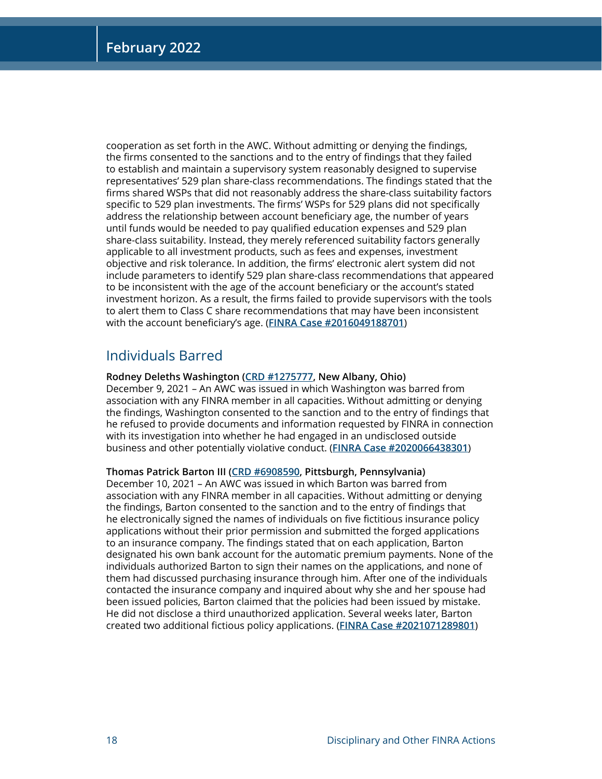cooperation as set forth in the AWC. Without admitting or denying the findings, the firms consented to the sanctions and to the entry of findings that they failed to establish and maintain a supervisory system reasonably designed to supervise representatives' 529 plan share-class recommendations. The findings stated that the firms shared WSPs that did not reasonably address the share-class suitability factors specific to 529 plan investments. The firms' WSPs for 529 plans did not specifically address the relationship between account beneficiary age, the number of years until funds would be needed to pay qualified education expenses and 529 plan share-class suitability. Instead, they merely referenced suitability factors generally applicable to all investment products, such as fees and expenses, investment objective and risk tolerance. In addition, the firms' electronic alert system did not include parameters to identify 529 plan share-class recommendations that appeared to be inconsistent with the age of the account beneficiary or the account's stated investment horizon. As a result, the firms failed to provide supervisors with the tools to alert them to Class C share recommendations that may have been inconsistent with the account beneficiary's age. (**[FINRA Case #2016049188701](https://www.finra.org/rules-guidance/oversight-enforcement/finra-disciplinary-actions?search=2016049188701)**)

## Individuals Barred

#### **Rodney Deleths Washington ([CRD #1275777,](http://brokercheck.finra.org/individual/summary/1275777) New Albany, Ohio)**

December 9, 2021 – An AWC was issued in which Washington was barred from association with any FINRA member in all capacities. Without admitting or denying the findings, Washington consented to the sanction and to the entry of findings that he refused to provide documents and information requested by FINRA in connection with its investigation into whether he had engaged in an undisclosed outside business and other potentially violative conduct. (**[FINRA Case #2020066438301](https://www.finra.org/rules-guidance/oversight-enforcement/finra-disciplinary-actions?search=2020066438301)**)

#### **Thomas Patrick Barton III ([CRD #6908590,](http://brokercheck.finra.org/individual/summary/6908590) Pittsburgh, Pennsylvania)**

December 10, 2021 – An AWC was issued in which Barton was barred from association with any FINRA member in all capacities. Without admitting or denying the findings, Barton consented to the sanction and to the entry of findings that he electronically signed the names of individuals on five fictitious insurance policy applications without their prior permission and submitted the forged applications to an insurance company. The findings stated that on each application, Barton designated his own bank account for the automatic premium payments. None of the individuals authorized Barton to sign their names on the applications, and none of them had discussed purchasing insurance through him. After one of the individuals contacted the insurance company and inquired about why she and her spouse had been issued policies, Barton claimed that the policies had been issued by mistake. He did not disclose a third unauthorized application. Several weeks later, Barton created two additional fictious policy applications. (**[FINRA Case #2021071289801](https://www.finra.org/rules-guidance/oversight-enforcement/finra-disciplinary-actions?search=2021071289801)**)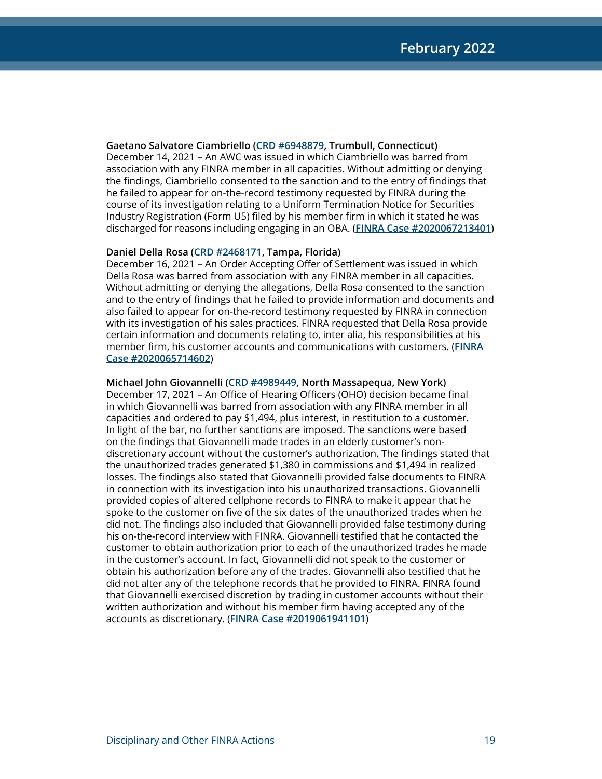**Gaetano Salvatore Ciambriello ([CRD #6948879,](http://brokercheck.finra.org/individual/summary/6948879) Trumbull, Connecticut)** December 14, 2021 – An AWC was issued in which Ciambriello was barred from association with any FINRA member in all capacities. Without admitting or denying the findings, Ciambriello consented to the sanction and to the entry of findings that he failed to appear for on-the-record testimony requested by FINRA during the course of its investigation relating to a Uniform Termination Notice for Securities Industry Registration (Form U5) filed by his member firm in which it stated he was discharged for reasons including engaging in an OBA. (**[FINRA Case #2020067213401](https://www.finra.org/rules-guidance/oversight-enforcement/finra-disciplinary-actions?search=2020067213401)**)

#### **Daniel Della Rosa [\(CRD #2468171,](http://brokercheck.finra.org/individual/summary/2468171) Tampa, Florida)**

December 16, 2021 – An Order Accepting Offer of Settlement was issued in which Della Rosa was barred from association with any FINRA member in all capacities. Without admitting or denying the allegations, Della Rosa consented to the sanction and to the entry of findings that he failed to provide information and documents and also failed to appear for on-the-record testimony requested by FINRA in connection with its investigation of his sales practices. FINRA requested that Della Rosa provide certain information and documents relating to, inter alia, his responsibilities at his member firm, his customer accounts and communications with customers. (**[FINRA](https://www.finra.org/rules-guidance/oversight-enforcement/finra-disciplinary-actions?search=2020065714602)  [Case #2020065714602](https://www.finra.org/rules-guidance/oversight-enforcement/finra-disciplinary-actions?search=2020065714602)**)

#### **Michael John Giovannelli ([CRD #4989449,](http://brokercheck.finra.org/individual/summary/4989449) North Massapequa, New York)**

December 17, 2021 – An Office of Hearing Officers (OHO) decision became final in which Giovannelli was barred from association with any FINRA member in all capacities and ordered to pay \$1,494, plus interest, in restitution to a customer. In light of the bar, no further sanctions are imposed. The sanctions were based on the findings that Giovannelli made trades in an elderly customer's nondiscretionary account without the customer's authorization. The findings stated that the unauthorized trades generated \$1,380 in commissions and \$1,494 in realized losses. The findings also stated that Giovannelli provided false documents to FINRA in connection with its investigation into his unauthorized transactions. Giovannelli provided copies of altered cellphone records to FINRA to make it appear that he spoke to the customer on five of the six dates of the unauthorized trades when he did not. The findings also included that Giovannelli provided false testimony during his on-the-record interview with FINRA. Giovannelli testified that he contacted the customer to obtain authorization prior to each of the unauthorized trades he made in the customer's account. In fact, Giovannelli did not speak to the customer or obtain his authorization before any of the trades. Giovannelli also testified that he did not alter any of the telephone records that he provided to FINRA. FINRA found that Giovannelli exercised discretion by trading in customer accounts without their written authorization and without his member firm having accepted any of the accounts as discretionary. (**[FINRA Case #2019061941101](https://www.finra.org/rules-guidance/oversight-enforcement/finra-disciplinary-actions?search=2019061941101)**)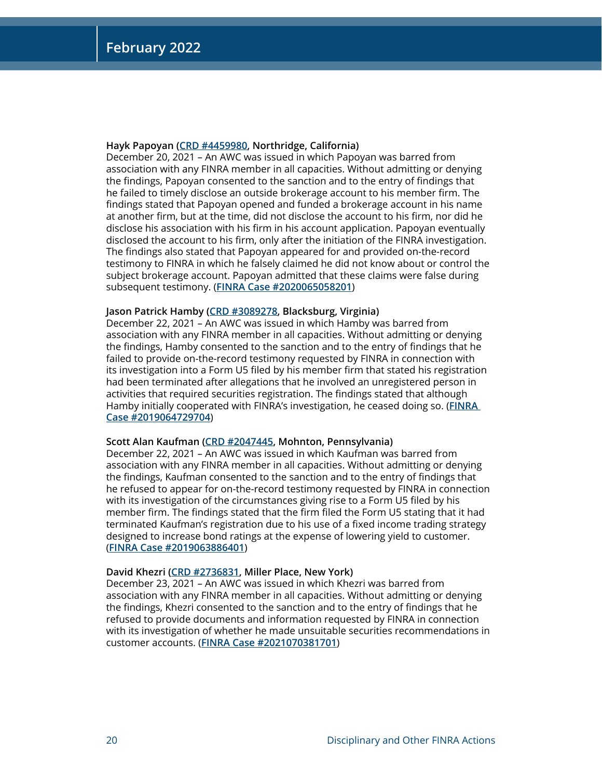#### **Hayk Papoyan ([CRD #4459980,](http://brokercheck.finra.org/individual/summary/4459980) Northridge, California)**

December 20, 2021 – An AWC was issued in which Papoyan was barred from association with any FINRA member in all capacities. Without admitting or denying the findings, Papoyan consented to the sanction and to the entry of findings that he failed to timely disclose an outside brokerage account to his member firm. The findings stated that Papoyan opened and funded a brokerage account in his name at another firm, but at the time, did not disclose the account to his firm, nor did he disclose his association with his firm in his account application. Papoyan eventually disclosed the account to his firm, only after the initiation of the FINRA investigation. The findings also stated that Papoyan appeared for and provided on-the-record testimony to FINRA in which he falsely claimed he did not know about or control the subject brokerage account. Papoyan admitted that these claims were false during subsequent testimony. (**[FINRA Case #2020065058201](https://www.finra.org/rules-guidance/oversight-enforcement/finra-disciplinary-actions?search=2020065058201)**)

#### **Jason Patrick Hamby [\(CRD #3089278](http://brokercheck.finra.org/individual/summary/3089278), Blacksburg, Virginia)**

December 22, 2021 – An AWC was issued in which Hamby was barred from association with any FINRA member in all capacities. Without admitting or denying the findings, Hamby consented to the sanction and to the entry of findings that he failed to provide on-the-record testimony requested by FINRA in connection with its investigation into a Form U5 filed by his member firm that stated his registration had been terminated after allegations that he involved an unregistered person in activities that required securities registration. The findings stated that although Hamby initially cooperated with FINRA's investigation, he ceased doing so. (**[FINRA](https://www.finra.org/rules-guidance/oversight-enforcement/finra-disciplinary-actions?search=2019064729704)  [Case #2019064729704](https://www.finra.org/rules-guidance/oversight-enforcement/finra-disciplinary-actions?search=2019064729704)**)

#### **Scott Alan Kaufman ([CRD #2047445,](http://brokercheck.finra.org/individual/summary/2047445) Mohnton, Pennsylvania)**

December 22, 2021 – An AWC was issued in which Kaufman was barred from association with any FINRA member in all capacities. Without admitting or denying the findings, Kaufman consented to the sanction and to the entry of findings that he refused to appear for on-the-record testimony requested by FINRA in connection with its investigation of the circumstances giving rise to a Form U5 filed by his member firm. The findings stated that the firm filed the Form U5 stating that it had terminated Kaufman's registration due to his use of a fixed income trading strategy designed to increase bond ratings at the expense of lowering yield to customer. (**[FINRA Case #2019063886401](https://www.finra.org/rules-guidance/oversight-enforcement/finra-disciplinary-actions?search=2019063886401)**)

#### **David Khezri [\(CRD #2736831](http://brokercheck.finra.org/individual/summary/2736831), Miller Place, New York)**

December 23, 2021 – An AWC was issued in which Khezri was barred from association with any FINRA member in all capacities. Without admitting or denying the findings, Khezri consented to the sanction and to the entry of findings that he refused to provide documents and information requested by FINRA in connection with its investigation of whether he made unsuitable securities recommendations in customer accounts. (**[FINRA Case #2021070381701](https://www.finra.org/rules-guidance/oversight-enforcement/finra-disciplinary-actions?search=2021070381701)**)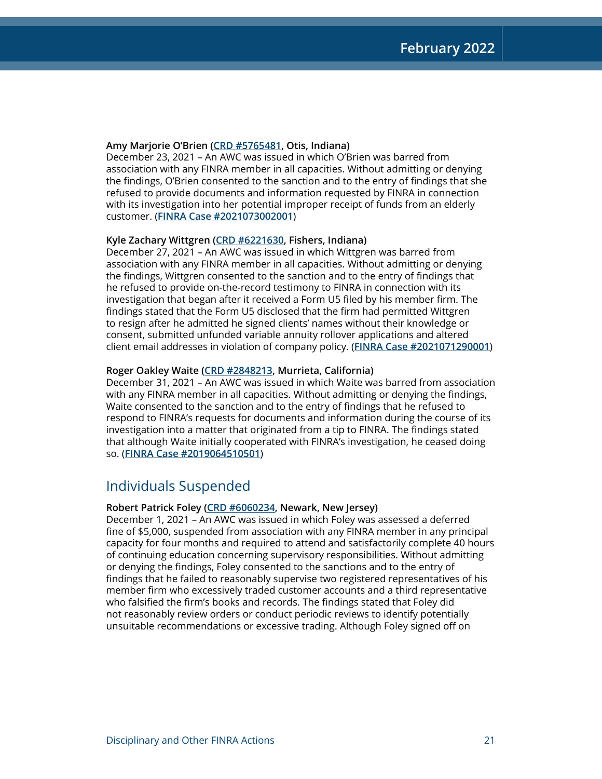#### **Amy Marjorie O'Brien [\(CRD #5765481](http://brokercheck.finra.org/individual/summary/5765481), Otis, Indiana)**

December 23, 2021 – An AWC was issued in which O'Brien was barred from association with any FINRA member in all capacities. Without admitting or denying the findings, O'Brien consented to the sanction and to the entry of findings that she refused to provide documents and information requested by FINRA in connection with its investigation into her potential improper receipt of funds from an elderly customer. (**[FINRA Case #2021073002001](https://www.finra.org/rules-guidance/oversight-enforcement/finra-disciplinary-actions?search=2021073002001)**)

#### **Kyle Zachary Wittgren ([CRD #6221630,](http://brokercheck.finra.org/individual/summary/6221630) Fishers, Indiana)**

December 27, 2021 – An AWC was issued in which Wittgren was barred from association with any FINRA member in all capacities. Without admitting or denying the findings, Wittgren consented to the sanction and to the entry of findings that he refused to provide on-the-record testimony to FINRA in connection with its investigation that began after it received a Form U5 filed by his member firm. The findings stated that the Form U5 disclosed that the firm had permitted Wittgren to resign after he admitted he signed clients' names without their knowledge or consent, submitted unfunded variable annuity rollover applications and altered client email addresses in violation of company policy. (**[FINRA Case #2021071290001](https://www.finra.org/rules-guidance/oversight-enforcement/finra-disciplinary-actions?search=2021071290001)**)

#### **Roger Oakley Waite [\(CRD #2848213](http://brokercheck.finra.org/individual/summary/2848213), Murrieta, California)**

December 31, 2021 – An AWC was issued in which Waite was barred from association with any FINRA member in all capacities. Without admitting or denying the findings, Waite consented to the sanction and to the entry of findings that he refused to respond to FINRA's requests for documents and information during the course of its investigation into a matter that originated from a tip to FINRA. The findings stated that although Waite initially cooperated with FINRA's investigation, he ceased doing so. (**[FINRA Case #2019064510501](https://www.finra.org/rules-guidance/oversight-enforcement/finra-disciplinary-actions?search=2019064510501)**)

## Individuals Suspended

#### **Robert Patrick Foley ([CRD #6060234,](http://brokercheck.finra.org/individual/summary/6060234) Newark, New Jersey)**

December 1, 2021 – An AWC was issued in which Foley was assessed a deferred fine of \$5,000, suspended from association with any FINRA member in any principal capacity for four months and required to attend and satisfactorily complete 40 hours of continuing education concerning supervisory responsibilities. Without admitting or denying the findings, Foley consented to the sanctions and to the entry of findings that he failed to reasonably supervise two registered representatives of his member firm who excessively traded customer accounts and a third representative who falsified the firm's books and records. The findings stated that Foley did not reasonably review orders or conduct periodic reviews to identify potentially unsuitable recommendations or excessive trading. Although Foley signed off on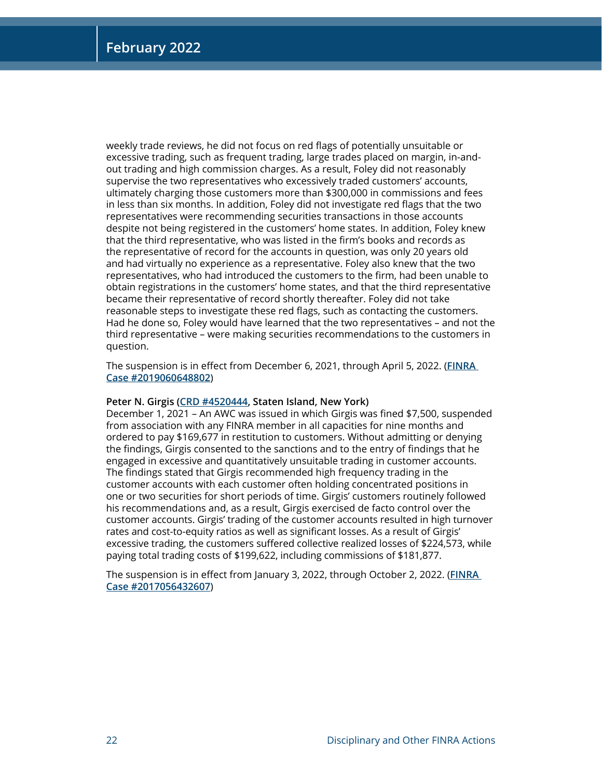weekly trade reviews, he did not focus on red flags of potentially unsuitable or excessive trading, such as frequent trading, large trades placed on margin, in-andout trading and high commission charges. As a result, Foley did not reasonably supervise the two representatives who excessively traded customers' accounts, ultimately charging those customers more than \$300,000 in commissions and fees in less than six months. In addition, Foley did not investigate red flags that the two representatives were recommending securities transactions in those accounts despite not being registered in the customers' home states. In addition, Foley knew that the third representative, who was listed in the firm's books and records as the representative of record for the accounts in question, was only 20 years old and had virtually no experience as a representative. Foley also knew that the two representatives, who had introduced the customers to the firm, had been unable to obtain registrations in the customers' home states, and that the third representative became their representative of record shortly thereafter. Foley did not take reasonable steps to investigate these red flags, such as contacting the customers. Had he done so, Foley would have learned that the two representatives – and not the third representative – were making securities recommendations to the customers in question.

The suspension is in effect from December 6, 2021, through April 5, 2022. (**[FINRA](https://www.finra.org/rules-guidance/oversight-enforcement/finra-disciplinary-actions?search=2019060648802)  [Case #2019060648802](https://www.finra.org/rules-guidance/oversight-enforcement/finra-disciplinary-actions?search=2019060648802)**)

#### **Peter N. Girgis [\(CRD #4520444](http://brokercheck.finra.org/individual/summary/4520444), Staten Island, New York)**

December 1, 2021 – An AWC was issued in which Girgis was fined \$7,500, suspended from association with any FINRA member in all capacities for nine months and ordered to pay \$169,677 in restitution to customers. Without admitting or denying the findings, Girgis consented to the sanctions and to the entry of findings that he engaged in excessive and quantitatively unsuitable trading in customer accounts. The findings stated that Girgis recommended high frequency trading in the customer accounts with each customer often holding concentrated positions in one or two securities for short periods of time. Girgis' customers routinely followed his recommendations and, as a result, Girgis exercised de facto control over the customer accounts. Girgis' trading of the customer accounts resulted in high turnover rates and cost-to-equity ratios as well as significant losses. As a result of Girgis' excessive trading, the customers suffered collective realized losses of \$224,573, while paying total trading costs of \$199,622, including commissions of \$181,877.

The suspension is in effect from January 3, 2022, through October 2, 2022. (**[FINRA](https://www.finra.org/rules-guidance/oversight-enforcement/finra-disciplinary-actions?search=2017056432607)  [Case #2017056432607](https://www.finra.org/rules-guidance/oversight-enforcement/finra-disciplinary-actions?search=2017056432607)**)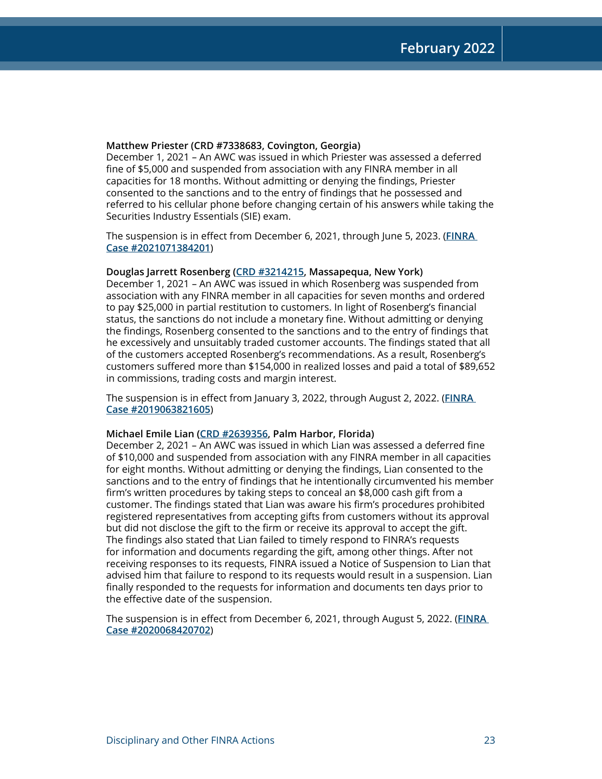#### **Matthew Priester (CRD #7338683, Covington, Georgia)**

December 1, 2021 – An AWC was issued in which Priester was assessed a deferred fine of \$5,000 and suspended from association with any FINRA member in all capacities for 18 months. Without admitting or denying the findings, Priester consented to the sanctions and to the entry of findings that he possessed and referred to his cellular phone before changing certain of his answers while taking the Securities Industry Essentials (SIE) exam.

The suspension is in effect from December 6, 2021, through June 5, 2023. (**[FINRA](https://www.finra.org/rules-guidance/oversight-enforcement/finra-disciplinary-actions?search=2021071384201)  [Case #2021071384201](https://www.finra.org/rules-guidance/oversight-enforcement/finra-disciplinary-actions?search=2021071384201)**)

#### **Douglas Jarrett Rosenberg [\(CRD #3214215](http://brokercheck.finra.org/individual/summary/3214215), Massapequa, New York)**

December 1, 2021 – An AWC was issued in which Rosenberg was suspended from association with any FINRA member in all capacities for seven months and ordered to pay \$25,000 in partial restitution to customers. In light of Rosenberg's financial status, the sanctions do not include a monetary fine. Without admitting or denying the findings, Rosenberg consented to the sanctions and to the entry of findings that he excessively and unsuitably traded customer accounts. The findings stated that all of the customers accepted Rosenberg's recommendations. As a result, Rosenberg's customers suffered more than \$154,000 in realized losses and paid a total of \$89,652 in commissions, trading costs and margin interest.

The suspension is in effect from January 3, 2022, through August 2, 2022. (**[FINRA](https://www.finra.org/rules-guidance/oversight-enforcement/finra-disciplinary-actions?search=2019063821605)  [Case #2019063821605](https://www.finra.org/rules-guidance/oversight-enforcement/finra-disciplinary-actions?search=2019063821605)**)

#### **Michael Emile Lian [\(CRD #2639356,](http://brokercheck.finra.org/individual/summary/2639356) Palm Harbor, Florida)**

December 2, 2021 – An AWC was issued in which Lian was assessed a deferred fine of \$10,000 and suspended from association with any FINRA member in all capacities for eight months. Without admitting or denying the findings, Lian consented to the sanctions and to the entry of findings that he intentionally circumvented his member firm's written procedures by taking steps to conceal an \$8,000 cash gift from a customer. The findings stated that Lian was aware his firm's procedures prohibited registered representatives from accepting gifts from customers without its approval but did not disclose the gift to the firm or receive its approval to accept the gift. The findings also stated that Lian failed to timely respond to FINRA's requests for information and documents regarding the gift, among other things. After not receiving responses to its requests, FINRA issued a Notice of Suspension to Lian that advised him that failure to respond to its requests would result in a suspension. Lian finally responded to the requests for information and documents ten days prior to the effective date of the suspension.

The suspension is in effect from December 6, 2021, through August 5, 2022. (**[FINRA](https://www.finra.org/rules-guidance/oversight-enforcement/finra-disciplinary-actions?search=2020068420702)  [Case #2020068420702](https://www.finra.org/rules-guidance/oversight-enforcement/finra-disciplinary-actions?search=2020068420702)**)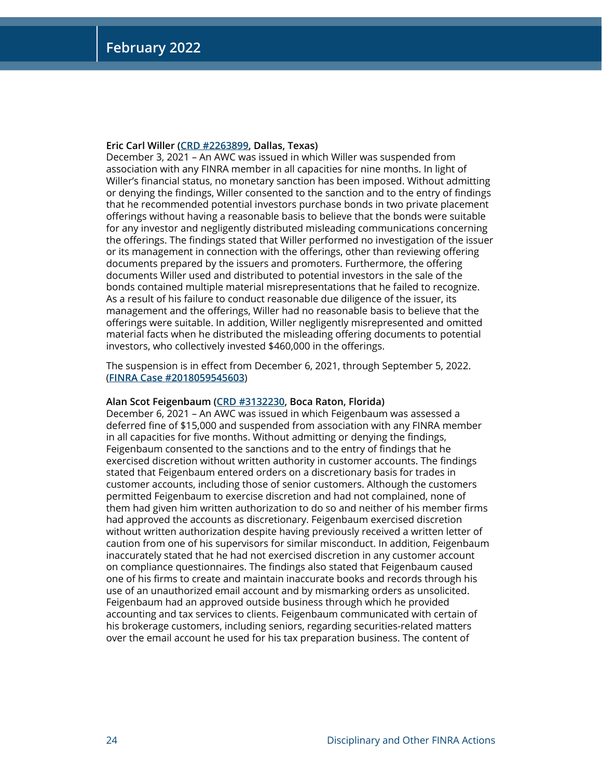#### **Eric Carl Willer ([CRD #2263899,](http://brokercheck.finra.org/individual/summary/2263899) Dallas, Texas)**

December 3, 2021 – An AWC was issued in which Willer was suspended from association with any FINRA member in all capacities for nine months. In light of Willer's financial status, no monetary sanction has been imposed. Without admitting or denying the findings, Willer consented to the sanction and to the entry of findings that he recommended potential investors purchase bonds in two private placement offerings without having a reasonable basis to believe that the bonds were suitable for any investor and negligently distributed misleading communications concerning the offerings. The findings stated that Willer performed no investigation of the issuer or its management in connection with the offerings, other than reviewing offering documents prepared by the issuers and promoters. Furthermore, the offering documents Willer used and distributed to potential investors in the sale of the bonds contained multiple material misrepresentations that he failed to recognize. As a result of his failure to conduct reasonable due diligence of the issuer, its management and the offerings, Willer had no reasonable basis to believe that the offerings were suitable. In addition, Willer negligently misrepresented and omitted material facts when he distributed the misleading offering documents to potential investors, who collectively invested \$460,000 in the offerings.

The suspension is in effect from December 6, 2021, through September 5, 2022. (**[FINRA Case #2018059545603](https://www.finra.org/rules-guidance/oversight-enforcement/finra-disciplinary-actions?search=2018059545603)**)

#### **Alan Scot Feigenbaum [\(CRD #3132230,](http://brokercheck.finra.org/individual/summary/3132230) Boca Raton, Florida)**

December 6, 2021 – An AWC was issued in which Feigenbaum was assessed a deferred fine of \$15,000 and suspended from association with any FINRA member in all capacities for five months. Without admitting or denying the findings, Feigenbaum consented to the sanctions and to the entry of findings that he exercised discretion without written authority in customer accounts. The findings stated that Feigenbaum entered orders on a discretionary basis for trades in customer accounts, including those of senior customers. Although the customers permitted Feigenbaum to exercise discretion and had not complained, none of them had given him written authorization to do so and neither of his member firms had approved the accounts as discretionary. Feigenbaum exercised discretion without written authorization despite having previously received a written letter of caution from one of his supervisors for similar misconduct. In addition, Feigenbaum inaccurately stated that he had not exercised discretion in any customer account on compliance questionnaires. The findings also stated that Feigenbaum caused one of his firms to create and maintain inaccurate books and records through his use of an unauthorized email account and by mismarking orders as unsolicited. Feigenbaum had an approved outside business through which he provided accounting and tax services to clients. Feigenbaum communicated with certain of his brokerage customers, including seniors, regarding securities-related matters over the email account he used for his tax preparation business. The content of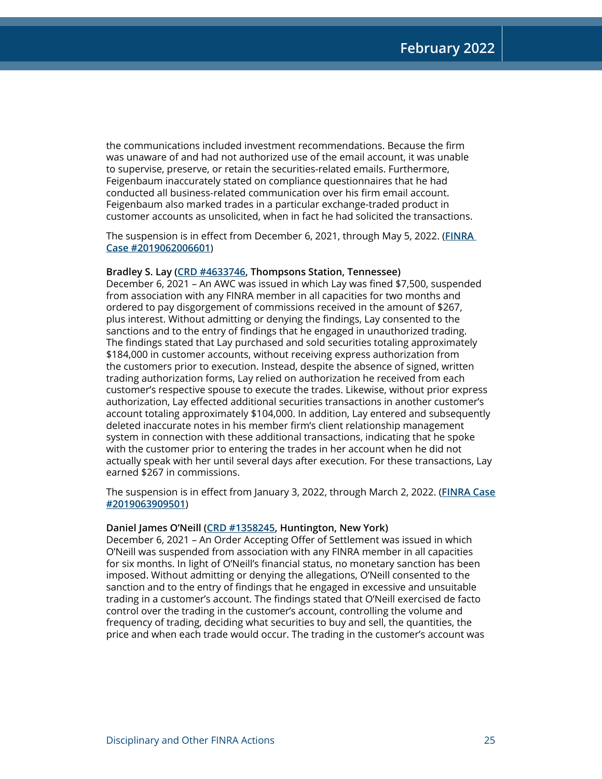the communications included investment recommendations. Because the firm was unaware of and had not authorized use of the email account, it was unable to supervise, preserve, or retain the securities-related emails. Furthermore, Feigenbaum inaccurately stated on compliance questionnaires that he had conducted all business-related communication over his firm email account. Feigenbaum also marked trades in a particular exchange-traded product in customer accounts as unsolicited, when in fact he had solicited the transactions.

The suspension is in effect from December 6, 2021, through May 5, 2022. (**[FINRA](https://www.finra.org/rules-guidance/oversight-enforcement/finra-disciplinary-actions?search=2019062006601)  [Case #2019062006601](https://www.finra.org/rules-guidance/oversight-enforcement/finra-disciplinary-actions?search=2019062006601)**)

#### **Bradley S. Lay ([CRD #4633746,](http://brokercheck.finra.org/individual/summary/4633746) Thompsons Station, Tennessee)**

December 6, 2021 – An AWC was issued in which Lay was fined \$7,500, suspended from association with any FINRA member in all capacities for two months and ordered to pay disgorgement of commissions received in the amount of \$267, plus interest. Without admitting or denying the findings, Lay consented to the sanctions and to the entry of findings that he engaged in unauthorized trading. The findings stated that Lay purchased and sold securities totaling approximately \$184,000 in customer accounts, without receiving express authorization from the customers prior to execution. Instead, despite the absence of signed, written trading authorization forms, Lay relied on authorization he received from each customer's respective spouse to execute the trades. Likewise, without prior express authorization, Lay effected additional securities transactions in another customer's account totaling approximately \$104,000. In addition, Lay entered and subsequently deleted inaccurate notes in his member firm's client relationship management system in connection with these additional transactions, indicating that he spoke with the customer prior to entering the trades in her account when he did not actually speak with her until several days after execution. For these transactions, Lay earned \$267 in commissions.

The suspension is in effect from January 3, 2022, through March 2, 2022. (**[FINRA Case](https://www.finra.org/rules-guidance/oversight-enforcement/finra-disciplinary-actions?search=2019063909501) [#2019063909501](https://www.finra.org/rules-guidance/oversight-enforcement/finra-disciplinary-actions?search=2019063909501)**)

#### **Daniel James O'Neill ([CRD #1358245,](http://brokercheck.finra.org/individual/summary/1358245) Huntington, New York)**

December 6, 2021 – An Order Accepting Offer of Settlement was issued in which O'Neill was suspended from association with any FINRA member in all capacities for six months. In light of O'Neill's financial status, no monetary sanction has been imposed. Without admitting or denying the allegations, O'Neill consented to the sanction and to the entry of findings that he engaged in excessive and unsuitable trading in a customer's account. The findings stated that O'Neill exercised de facto control over the trading in the customer's account, controlling the volume and frequency of trading, deciding what securities to buy and sell, the quantities, the price and when each trade would occur. The trading in the customer's account was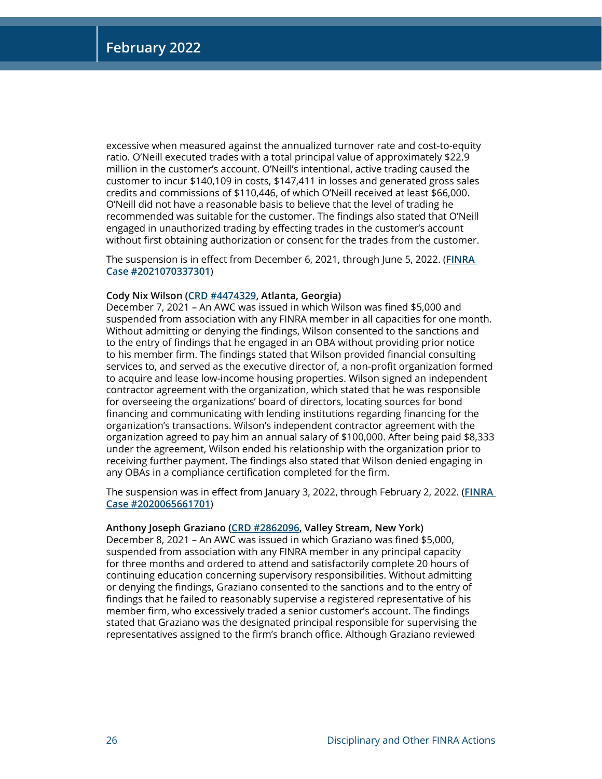excessive when measured against the annualized turnover rate and cost-to-equity ratio. O'Neill executed trades with a total principal value of approximately \$22.9 million in the customer's account. O'Neill's intentional, active trading caused the customer to incur \$140,109 in costs, \$147,411 in losses and generated gross sales credits and commissions of \$110,446, of which O'Neill received at least \$66,000. O'Neill did not have a reasonable basis to believe that the level of trading he recommended was suitable for the customer. The findings also stated that O'Neill engaged in unauthorized trading by effecting trades in the customer's account without first obtaining authorization or consent for the trades from the customer.

The suspension is in effect from December 6, 2021, through June 5, 2022. (**[FINRA](https://www.finra.org/rules-guidance/oversight-enforcement/finra-disciplinary-actions?search=2021070337301)  [Case #2021070337301](https://www.finra.org/rules-guidance/oversight-enforcement/finra-disciplinary-actions?search=2021070337301)**)

#### **Cody Nix Wilson [\(CRD #4474329,](http://brokercheck.finra.org/individual/summary/4474329) Atlanta, Georgia)**

December 7, 2021 – An AWC was issued in which Wilson was fined \$5,000 and suspended from association with any FINRA member in all capacities for one month. Without admitting or denying the findings, Wilson consented to the sanctions and to the entry of findings that he engaged in an OBA without providing prior notice to his member firm. The findings stated that Wilson provided financial consulting services to, and served as the executive director of, a non-profit organization formed to acquire and lease low-income housing properties. Wilson signed an independent contractor agreement with the organization, which stated that he was responsible for overseeing the organizations' board of directors, locating sources for bond financing and communicating with lending institutions regarding financing for the organization's transactions. Wilson's independent contractor agreement with the organization agreed to pay him an annual salary of \$100,000. After being paid \$8,333 under the agreement, Wilson ended his relationship with the organization prior to receiving further payment. The findings also stated that Wilson denied engaging in any OBAs in a compliance certification completed for the firm.

The suspension was in effect from January 3, 2022, through February 2, 2022. (**[FINRA](https://www.finra.org/rules-guidance/oversight-enforcement/finra-disciplinary-actions?search=2020065661701)  [Case #2020065661701](https://www.finra.org/rules-guidance/oversight-enforcement/finra-disciplinary-actions?search=2020065661701)**)

#### **Anthony Joseph Graziano ([CRD #2862096,](http://brokercheck.finra.org/individual/summary/2862096) Valley Stream, New York)**

December 8, 2021 – An AWC was issued in which Graziano was fined \$5,000, suspended from association with any FINRA member in any principal capacity for three months and ordered to attend and satisfactorily complete 20 hours of continuing education concerning supervisory responsibilities. Without admitting or denying the findings, Graziano consented to the sanctions and to the entry of findings that he failed to reasonably supervise a registered representative of his member firm, who excessively traded a senior customer's account. The findings stated that Graziano was the designated principal responsible for supervising the representatives assigned to the firm's branch office. Although Graziano reviewed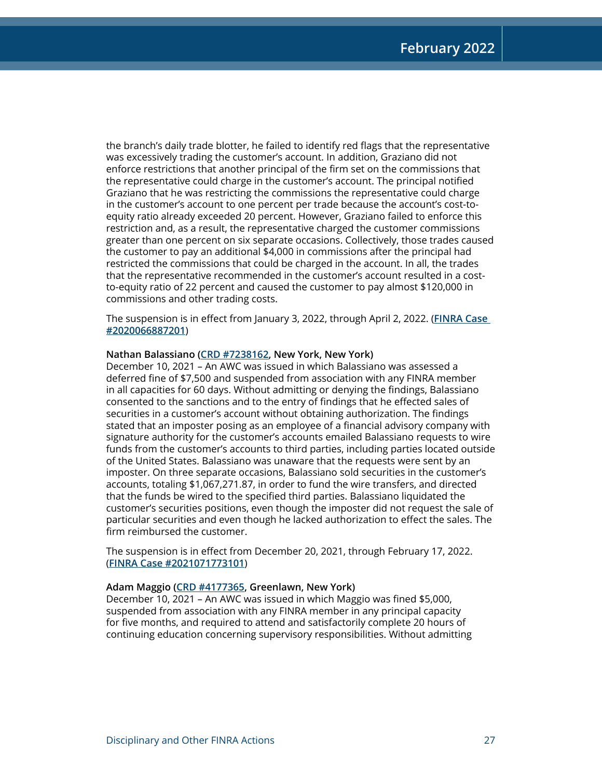the branch's daily trade blotter, he failed to identify red flags that the representative was excessively trading the customer's account. In addition, Graziano did not enforce restrictions that another principal of the firm set on the commissions that the representative could charge in the customer's account. The principal notified Graziano that he was restricting the commissions the representative could charge in the customer's account to one percent per trade because the account's cost-toequity ratio already exceeded 20 percent. However, Graziano failed to enforce this restriction and, as a result, the representative charged the customer commissions greater than one percent on six separate occasions. Collectively, those trades caused the customer to pay an additional \$4,000 in commissions after the principal had restricted the commissions that could be charged in the account. In all, the trades that the representative recommended in the customer's account resulted in a costto-equity ratio of 22 percent and caused the customer to pay almost \$120,000 in commissions and other trading costs.

The suspension is in effect from January 3, 2022, through April 2, 2022. (**[FINRA Case](https://www.finra.org/rules-guidance/oversight-enforcement/finra-disciplinary-actions?search=2020066887201)  [#2020066887201](https://www.finra.org/rules-guidance/oversight-enforcement/finra-disciplinary-actions?search=2020066887201)**)

#### **Nathan Balassiano [\(CRD #7238162](http://brokercheck.finra.org/individual/summary/7238162), New York, New York)**

December 10, 2021 – An AWC was issued in which Balassiano was assessed a deferred fine of \$7,500 and suspended from association with any FINRA member in all capacities for 60 days. Without admitting or denying the findings, Balassiano consented to the sanctions and to the entry of findings that he effected sales of securities in a customer's account without obtaining authorization. The findings stated that an imposter posing as an employee of a financial advisory company with signature authority for the customer's accounts emailed Balassiano requests to wire funds from the customer's accounts to third parties, including parties located outside of the United States. Balassiano was unaware that the requests were sent by an imposter. On three separate occasions, Balassiano sold securities in the customer's accounts, totaling \$1,067,271.87, in order to fund the wire transfers, and directed that the funds be wired to the specified third parties. Balassiano liquidated the customer's securities positions, even though the imposter did not request the sale of particular securities and even though he lacked authorization to effect the sales. The firm reimbursed the customer.

The suspension is in effect from December 20, 2021, through February 17, 2022. (**[FINRA Case #2021071773101](https://www.finra.org/rules-guidance/oversight-enforcement/finra-disciplinary-actions?search=2021071773101)**)

#### **Adam Maggio ([CRD #4177365,](http://brokercheck.finra.org/individual/summary/4177365) Greenlawn, New York)**

December 10, 2021 – An AWC was issued in which Maggio was fined \$5,000, suspended from association with any FINRA member in any principal capacity for five months, and required to attend and satisfactorily complete 20 hours of continuing education concerning supervisory responsibilities. Without admitting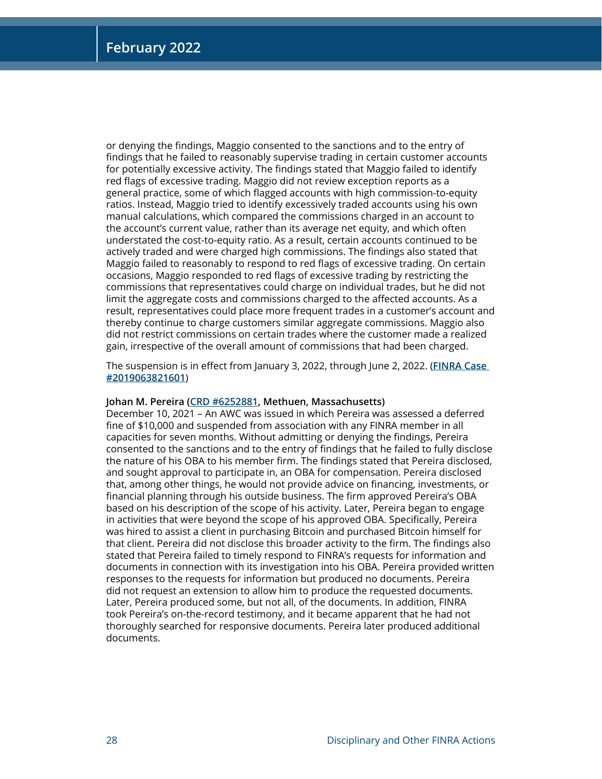or denying the findings, Maggio consented to the sanctions and to the entry of findings that he failed to reasonably supervise trading in certain customer accounts for potentially excessive activity. The findings stated that Maggio failed to identify red flags of excessive trading. Maggio did not review exception reports as a general practice, some of which flagged accounts with high commission-to-equity ratios. Instead, Maggio tried to identify excessively traded accounts using his own manual calculations, which compared the commissions charged in an account to the account's current value, rather than its average net equity, and which often understated the cost-to-equity ratio. As a result, certain accounts continued to be actively traded and were charged high commissions. The findings also stated that Maggio failed to reasonably to respond to red flags of excessive trading. On certain occasions, Maggio responded to red flags of excessive trading by restricting the commissions that representatives could charge on individual trades, but he did not limit the aggregate costs and commissions charged to the affected accounts. As a result, representatives could place more frequent trades in a customer's account and thereby continue to charge customers similar aggregate commissions. Maggio also did not restrict commissions on certain trades where the customer made a realized gain, irrespective of the overall amount of commissions that had been charged.

The suspension is in effect from January 3, 2022, through June 2, 2022. (**[FINRA Case](https://www.finra.org/rules-guidance/oversight-enforcement/finra-disciplinary-actions?search=2019063821601)  [#2019063821601](https://www.finra.org/rules-guidance/oversight-enforcement/finra-disciplinary-actions?search=2019063821601)**)

#### **Johan M. Pereira [\(CRD #6252881,](http://brokercheck.finra.org/individual/summary/6252881) Methuen, Massachusetts)**

December 10, 2021 – An AWC was issued in which Pereira was assessed a deferred fine of \$10,000 and suspended from association with any FINRA member in all capacities for seven months. Without admitting or denying the findings, Pereira consented to the sanctions and to the entry of findings that he failed to fully disclose the nature of his OBA to his member firm. The findings stated that Pereira disclosed, and sought approval to participate in, an OBA for compensation. Pereira disclosed that, among other things, he would not provide advice on financing, investments, or financial planning through his outside business. The firm approved Pereira's OBA based on his description of the scope of his activity. Later, Pereira began to engage in activities that were beyond the scope of his approved OBA. Specifically, Pereira was hired to assist a client in purchasing Bitcoin and purchased Bitcoin himself for that client. Pereira did not disclose this broader activity to the firm. The findings also stated that Pereira failed to timely respond to FINRA's requests for information and documents in connection with its investigation into his OBA. Pereira provided written responses to the requests for information but produced no documents. Pereira did not request an extension to allow him to produce the requested documents. Later, Pereira produced some, but not all, of the documents. In addition, FINRA took Pereira's on-the-record testimony, and it became apparent that he had not thoroughly searched for responsive documents. Pereira later produced additional documents.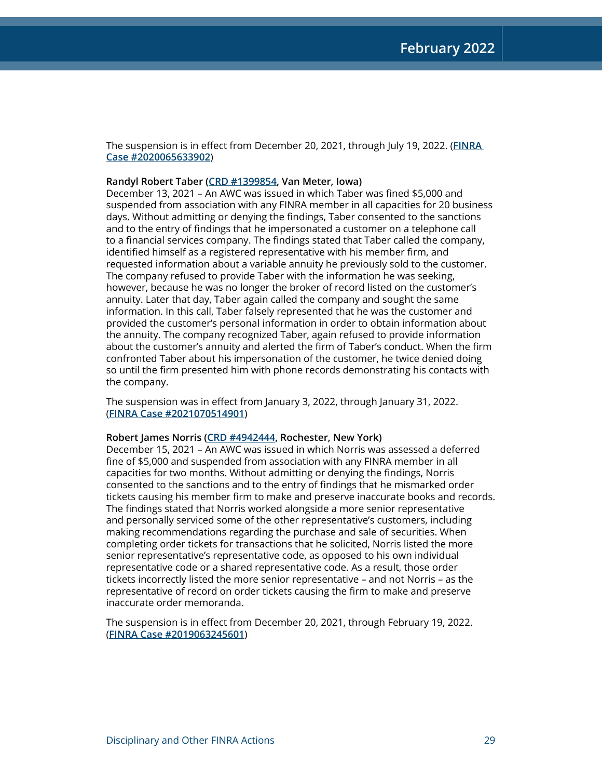The suspension is in effect from December 20, 2021, through July 19, 2022. (**[FINRA](https://www.finra.org/rules-guidance/oversight-enforcement/finra-disciplinary-actions?search=2020065633902)  [Case #2020065633902](https://www.finra.org/rules-guidance/oversight-enforcement/finra-disciplinary-actions?search=2020065633902)**)

#### **Randyl Robert Taber [\(CRD #1399854](http://brokercheck.finra.org/individual/summary/1399854), Van Meter, Iowa)**

December 13, 2021 – An AWC was issued in which Taber was fined \$5,000 and suspended from association with any FINRA member in all capacities for 20 business days. Without admitting or denying the findings, Taber consented to the sanctions and to the entry of findings that he impersonated a customer on a telephone call to a financial services company. The findings stated that Taber called the company, identified himself as a registered representative with his member firm, and requested information about a variable annuity he previously sold to the customer. The company refused to provide Taber with the information he was seeking, however, because he was no longer the broker of record listed on the customer's annuity. Later that day, Taber again called the company and sought the same information. In this call, Taber falsely represented that he was the customer and provided the customer's personal information in order to obtain information about the annuity. The company recognized Taber, again refused to provide information about the customer's annuity and alerted the firm of Taber's conduct. When the firm confronted Taber about his impersonation of the customer, he twice denied doing so until the firm presented him with phone records demonstrating his contacts with the company.

The suspension was in effect from January 3, 2022, through January 31, 2022. (**[FINRA Case #2021070514901](https://www.finra.org/rules-guidance/oversight-enforcement/finra-disciplinary-actions?search=2021070514901)**)

#### **Robert James Norris ([CRD #4942444,](http://brokercheck.finra.org/individual/summary/4942444) Rochester, New York)**

December 15, 2021 – An AWC was issued in which Norris was assessed a deferred fine of \$5,000 and suspended from association with any FINRA member in all capacities for two months. Without admitting or denying the findings, Norris consented to the sanctions and to the entry of findings that he mismarked order tickets causing his member firm to make and preserve inaccurate books and records. The findings stated that Norris worked alongside a more senior representative and personally serviced some of the other representative's customers, including making recommendations regarding the purchase and sale of securities. When completing order tickets for transactions that he solicited, Norris listed the more senior representative's representative code, as opposed to his own individual representative code or a shared representative code. As a result, those order tickets incorrectly listed the more senior representative – and not Norris – as the representative of record on order tickets causing the firm to make and preserve inaccurate order memoranda.

The suspension is in effect from December 20, 2021, through February 19, 2022. (**[FINRA Case #2019063245601](https://www.finra.org/rules-guidance/oversight-enforcement/finra-disciplinary-actions?search=2019063245601)**)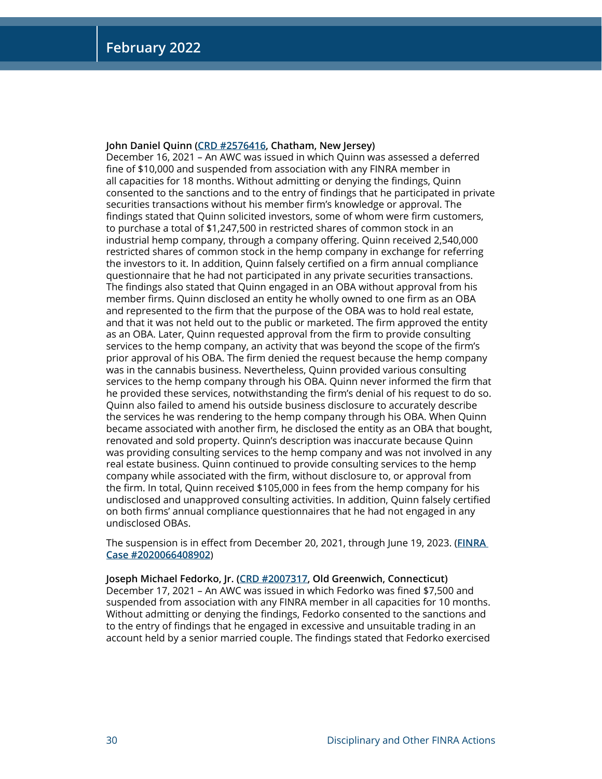#### **John Daniel Quinn [\(CRD #2576416](http://brokercheck.finra.org/individual/summary/2576416), Chatham, New Jersey)**

December 16, 2021 – An AWC was issued in which Quinn was assessed a deferred fine of \$10,000 and suspended from association with any FINRA member in all capacities for 18 months. Without admitting or denying the findings, Quinn consented to the sanctions and to the entry of findings that he participated in private securities transactions without his member firm's knowledge or approval. The findings stated that Quinn solicited investors, some of whom were firm customers, to purchase a total of \$1,247,500 in restricted shares of common stock in an industrial hemp company, through a company offering. Quinn received 2,540,000 restricted shares of common stock in the hemp company in exchange for referring the investors to it. In addition, Quinn falsely certified on a firm annual compliance questionnaire that he had not participated in any private securities transactions. The findings also stated that Quinn engaged in an OBA without approval from his member firms. Quinn disclosed an entity he wholly owned to one firm as an OBA and represented to the firm that the purpose of the OBA was to hold real estate, and that it was not held out to the public or marketed. The firm approved the entity as an OBA. Later, Quinn requested approval from the firm to provide consulting services to the hemp company, an activity that was beyond the scope of the firm's prior approval of his OBA. The firm denied the request because the hemp company was in the cannabis business. Nevertheless, Quinn provided various consulting services to the hemp company through his OBA. Quinn never informed the firm that he provided these services, notwithstanding the firm's denial of his request to do so. Quinn also failed to amend his outside business disclosure to accurately describe the services he was rendering to the hemp company through his OBA. When Quinn became associated with another firm, he disclosed the entity as an OBA that bought, renovated and sold property. Quinn's description was inaccurate because Quinn was providing consulting services to the hemp company and was not involved in any real estate business. Quinn continued to provide consulting services to the hemp company while associated with the firm, without disclosure to, or approval from the firm. In total, Quinn received \$105,000 in fees from the hemp company for his undisclosed and unapproved consulting activities. In addition, Quinn falsely certified on both firms' annual compliance questionnaires that he had not engaged in any undisclosed OBAs.

The suspension is in effect from December 20, 2021, through June 19, 2023. (**[FINRA](https://www.finra.org/rules-guidance/oversight-enforcement/finra-disciplinary-actions?search=2020066408902)  [Case #2020066408902](https://www.finra.org/rules-guidance/oversight-enforcement/finra-disciplinary-actions?search=2020066408902)**)

**Joseph Michael Fedorko, Jr. ([CRD #2007317,](http://brokercheck.finra.org/individual/summary/2007317) Old Greenwich, Connecticut)** December 17, 2021 – An AWC was issued in which Fedorko was fined \$7,500 and suspended from association with any FINRA member in all capacities for 10 months. Without admitting or denying the findings, Fedorko consented to the sanctions and to the entry of findings that he engaged in excessive and unsuitable trading in an account held by a senior married couple. The findings stated that Fedorko exercised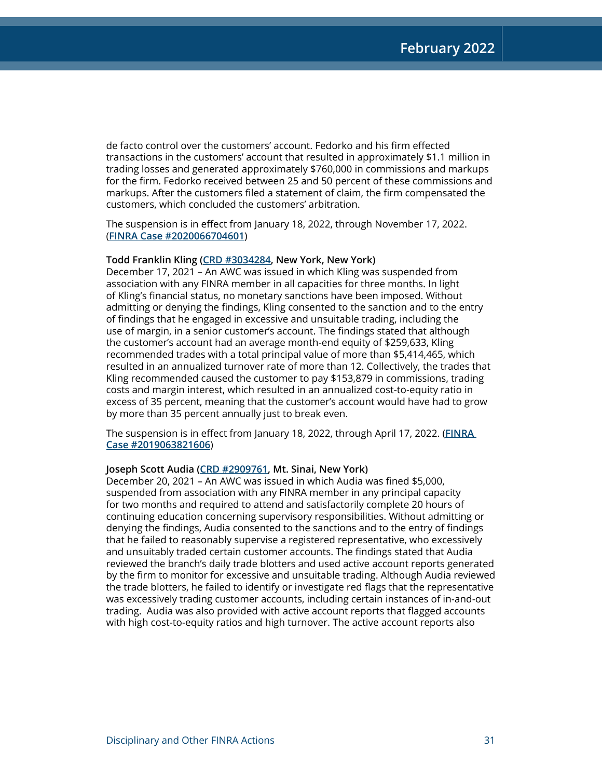de facto control over the customers' account. Fedorko and his firm effected transactions in the customers' account that resulted in approximately \$1.1 million in trading losses and generated approximately \$760,000 in commissions and markups for the firm. Fedorko received between 25 and 50 percent of these commissions and markups. After the customers filed a statement of claim, the firm compensated the customers, which concluded the customers' arbitration.

The suspension is in effect from January 18, 2022, through November 17, 2022. (**[FINRA Case #2020066704601](https://www.finra.org/rules-guidance/oversight-enforcement/finra-disciplinary-actions?search=2020066704601)**)

#### **Todd Franklin Kling [\(CRD #3034284,](http://brokercheck.finra.org/individual/summary/3034284) New York, New York)**

December 17, 2021 – An AWC was issued in which Kling was suspended from association with any FINRA member in all capacities for three months. In light of Kling's financial status, no monetary sanctions have been imposed. Without admitting or denying the findings, Kling consented to the sanction and to the entry of findings that he engaged in excessive and unsuitable trading, including the use of margin, in a senior customer's account. The findings stated that although the customer's account had an average month-end equity of \$259,633, Kling recommended trades with a total principal value of more than \$5,414,465, which resulted in an annualized turnover rate of more than 12. Collectively, the trades that Kling recommended caused the customer to pay \$153,879 in commissions, trading costs and margin interest, which resulted in an annualized cost-to-equity ratio in excess of 35 percent, meaning that the customer's account would have had to grow by more than 35 percent annually just to break even.

The suspension is in effect from January 18, 2022, through April 17, 2022. (**[FINRA](https://www.finra.org/rules-guidance/oversight-enforcement/finra-disciplinary-actions?search=2019063821606)  [Case #2019063821606](https://www.finra.org/rules-guidance/oversight-enforcement/finra-disciplinary-actions?search=2019063821606)**)

#### **Joseph Scott Audia [\(CRD #2909761,](http://brokercheck.finra.org/individual/summary/2909761) Mt. Sinai, New York)**

December 20, 2021 – An AWC was issued in which Audia was fined \$5,000, suspended from association with any FINRA member in any principal capacity for two months and required to attend and satisfactorily complete 20 hours of continuing education concerning supervisory responsibilities. Without admitting or denying the findings, Audia consented to the sanctions and to the entry of findings that he failed to reasonably supervise a registered representative, who excessively and unsuitably traded certain customer accounts. The findings stated that Audia reviewed the branch's daily trade blotters and used active account reports generated by the firm to monitor for excessive and unsuitable trading. Although Audia reviewed the trade blotters, he failed to identify or investigate red flags that the representative was excessively trading customer accounts, including certain instances of in-and-out trading. Audia was also provided with active account reports that flagged accounts with high cost-to-equity ratios and high turnover. The active account reports also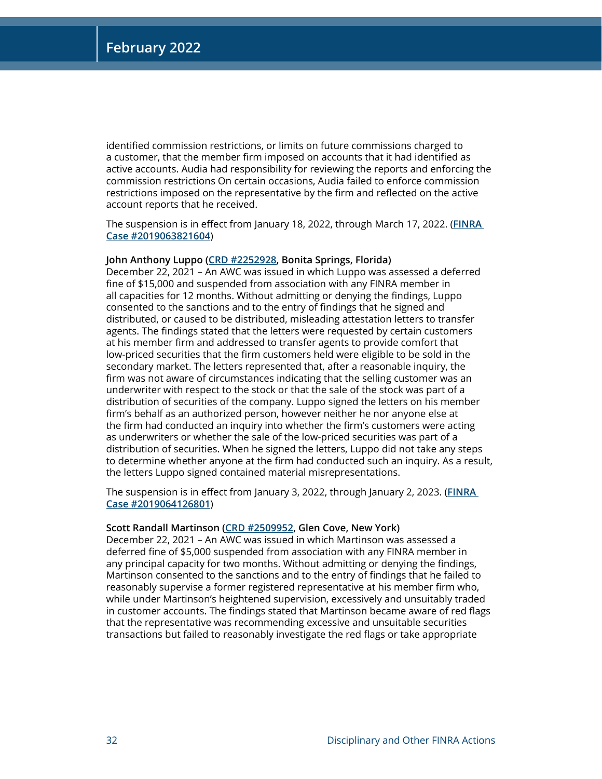identified commission restrictions, or limits on future commissions charged to a customer, that the member firm imposed on accounts that it had identified as active accounts. Audia had responsibility for reviewing the reports and enforcing the commission restrictions On certain occasions, Audia failed to enforce commission restrictions imposed on the representative by the firm and reflected on the active account reports that he received.

The suspension is in effect from January 18, 2022, through March 17, 2022. (**[FINRA](https://www.finra.org/rules-guidance/oversight-enforcement/finra-disciplinary-actions?search=2019063821604)  [Case #2019063821604](https://www.finra.org/rules-guidance/oversight-enforcement/finra-disciplinary-actions?search=2019063821604)**)

#### **John Anthony Luppo [\(CRD #2252928](http://brokercheck.finra.org/individual/summary/2252928), Bonita Springs, Florida)**

December 22, 2021 – An AWC was issued in which Luppo was assessed a deferred fine of \$15,000 and suspended from association with any FINRA member in all capacities for 12 months. Without admitting or denying the findings, Luppo consented to the sanctions and to the entry of findings that he signed and distributed, or caused to be distributed, misleading attestation letters to transfer agents. The findings stated that the letters were requested by certain customers at his member firm and addressed to transfer agents to provide comfort that low-priced securities that the firm customers held were eligible to be sold in the secondary market. The letters represented that, after a reasonable inquiry, the firm was not aware of circumstances indicating that the selling customer was an underwriter with respect to the stock or that the sale of the stock was part of a distribution of securities of the company. Luppo signed the letters on his member firm's behalf as an authorized person, however neither he nor anyone else at the firm had conducted an inquiry into whether the firm's customers were acting as underwriters or whether the sale of the low-priced securities was part of a distribution of securities. When he signed the letters, Luppo did not take any steps to determine whether anyone at the firm had conducted such an inquiry. As a result, the letters Luppo signed contained material misrepresentations.

The suspension is in effect from January 3, 2022, through January 2, 2023. (**[FINRA](https://www.finra.org/rules-guidance/oversight-enforcement/finra-disciplinary-actions?search=2019064126801)  [Case #2019064126801](https://www.finra.org/rules-guidance/oversight-enforcement/finra-disciplinary-actions?search=2019064126801)**)

#### **Scott Randall Martinson [\(CRD #2509952](http://brokercheck.finra.org/individual/summary/2509952), Glen Cove, New York)**

December 22, 2021 – An AWC was issued in which Martinson was assessed a deferred fine of \$5,000 suspended from association with any FINRA member in any principal capacity for two months. Without admitting or denying the findings, Martinson consented to the sanctions and to the entry of findings that he failed to reasonably supervise a former registered representative at his member firm who, while under Martinson's heightened supervision, excessively and unsuitably traded in customer accounts. The findings stated that Martinson became aware of red flags that the representative was recommending excessive and unsuitable securities transactions but failed to reasonably investigate the red flags or take appropriate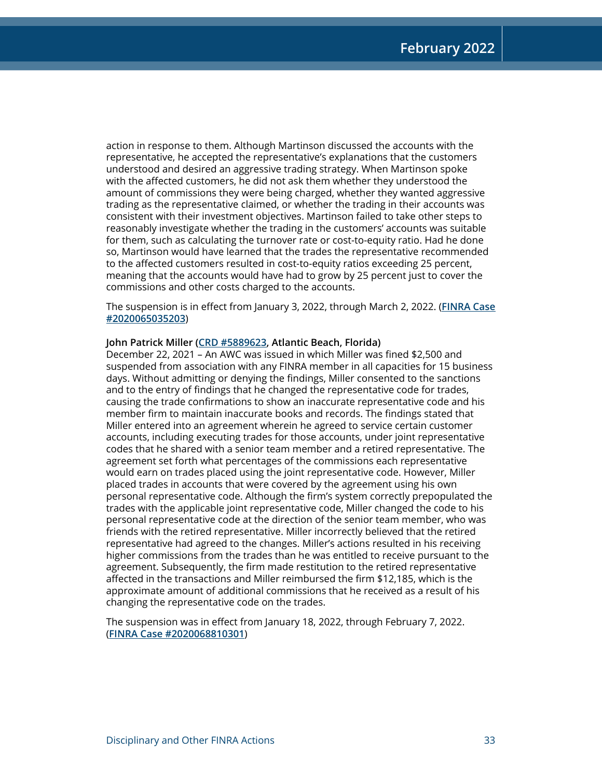action in response to them. Although Martinson discussed the accounts with the representative, he accepted the representative's explanations that the customers understood and desired an aggressive trading strategy. When Martinson spoke with the affected customers, he did not ask them whether they understood the amount of commissions they were being charged, whether they wanted aggressive trading as the representative claimed, or whether the trading in their accounts was consistent with their investment objectives. Martinson failed to take other steps to reasonably investigate whether the trading in the customers' accounts was suitable for them, such as calculating the turnover rate or cost-to-equity ratio. Had he done so, Martinson would have learned that the trades the representative recommended to the affected customers resulted in cost-to-equity ratios exceeding 25 percent, meaning that the accounts would have had to grow by 25 percent just to cover the commissions and other costs charged to the accounts.

The suspension is in effect from January 3, 2022, through March 2, 2022. (**[FINRA Case](https://www.finra.org/rules-guidance/oversight-enforcement/finra-disciplinary-actions?search=2020065035203) [#2020065035203](https://www.finra.org/rules-guidance/oversight-enforcement/finra-disciplinary-actions?search=2020065035203)**)

#### **John Patrick Miller [\(CRD #5889623](http://brokercheck.finra.org/individual/summary/5889623), Atlantic Beach, Florida)**

December 22, 2021 – An AWC was issued in which Miller was fined \$2,500 and suspended from association with any FINRA member in all capacities for 15 business days. Without admitting or denying the findings, Miller consented to the sanctions and to the entry of findings that he changed the representative code for trades, causing the trade confirmations to show an inaccurate representative code and his member firm to maintain inaccurate books and records. The findings stated that Miller entered into an agreement wherein he agreed to service certain customer accounts, including executing trades for those accounts, under joint representative codes that he shared with a senior team member and a retired representative. The agreement set forth what percentages of the commissions each representative would earn on trades placed using the joint representative code. However, Miller placed trades in accounts that were covered by the agreement using his own personal representative code. Although the firm's system correctly prepopulated the trades with the applicable joint representative code, Miller changed the code to his personal representative code at the direction of the senior team member, who was friends with the retired representative. Miller incorrectly believed that the retired representative had agreed to the changes. Miller's actions resulted in his receiving higher commissions from the trades than he was entitled to receive pursuant to the agreement. Subsequently, the firm made restitution to the retired representative affected in the transactions and Miller reimbursed the firm \$12,185, which is the approximate amount of additional commissions that he received as a result of his changing the representative code on the trades.

The suspension was in effect from January 18, 2022, through February 7, 2022. (**[FINRA Case #2020068810301](https://www.finra.org/rules-guidance/oversight-enforcement/finra-disciplinary-actions?search=2020068810301)**)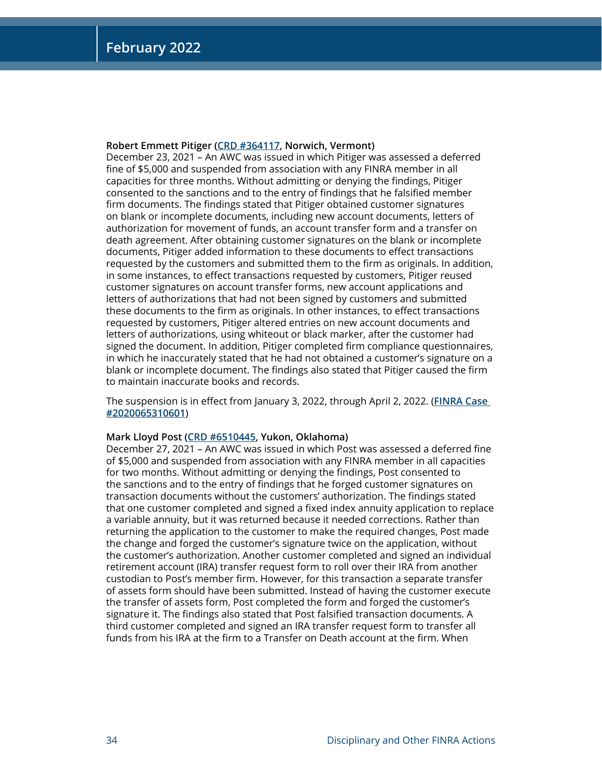#### **Robert Emmett Pitiger [\(CRD #364117,](http://brokercheck.finra.org/individual/summary/364117) Norwich, Vermont)**

December 23, 2021 – An AWC was issued in which Pitiger was assessed a deferred fine of \$5,000 and suspended from association with any FINRA member in all capacities for three months. Without admitting or denying the findings, Pitiger consented to the sanctions and to the entry of findings that he falsified member firm documents. The findings stated that Pitiger obtained customer signatures on blank or incomplete documents, including new account documents, letters of authorization for movement of funds, an account transfer form and a transfer on death agreement. After obtaining customer signatures on the blank or incomplete documents, Pitiger added information to these documents to effect transactions requested by the customers and submitted them to the firm as originals. In addition, in some instances, to effect transactions requested by customers, Pitiger reused customer signatures on account transfer forms, new account applications and letters of authorizations that had not been signed by customers and submitted these documents to the firm as originals. In other instances, to effect transactions requested by customers, Pitiger altered entries on new account documents and letters of authorizations, using whiteout or black marker, after the customer had signed the document. In addition, Pitiger completed firm compliance questionnaires, in which he inaccurately stated that he had not obtained a customer's signature on a blank or incomplete document. The findings also stated that Pitiger caused the firm to maintain inaccurate books and records.

The suspension is in effect from January 3, 2022, through April 2, 2022. (**[FINRA Case](https://www.finra.org/rules-guidance/oversight-enforcement/finra-disciplinary-actions?search=2020065310601)  [#2020065310601](https://www.finra.org/rules-guidance/oversight-enforcement/finra-disciplinary-actions?search=2020065310601)**)

#### **Mark Lloyd Post [\(CRD #6510445](http://brokercheck.finra.org/individual/summary/6510445), Yukon, Oklahoma)**

December 27, 2021 – An AWC was issued in which Post was assessed a deferred fine of \$5,000 and suspended from association with any FINRA member in all capacities for two months. Without admitting or denying the findings, Post consented to the sanctions and to the entry of findings that he forged customer signatures on transaction documents without the customers' authorization. The findings stated that one customer completed and signed a fixed index annuity application to replace a variable annuity, but it was returned because it needed corrections. Rather than returning the application to the customer to make the required changes, Post made the change and forged the customer's signature twice on the application, without the customer's authorization. Another customer completed and signed an individual retirement account (IRA) transfer request form to roll over their IRA from another custodian to Post's member firm. However, for this transaction a separate transfer of assets form should have been submitted. Instead of having the customer execute the transfer of assets form, Post completed the form and forged the customer's signature it. The findings also stated that Post falsified transaction documents. A third customer completed and signed an IRA transfer request form to transfer all funds from his IRA at the firm to a Transfer on Death account at the firm. When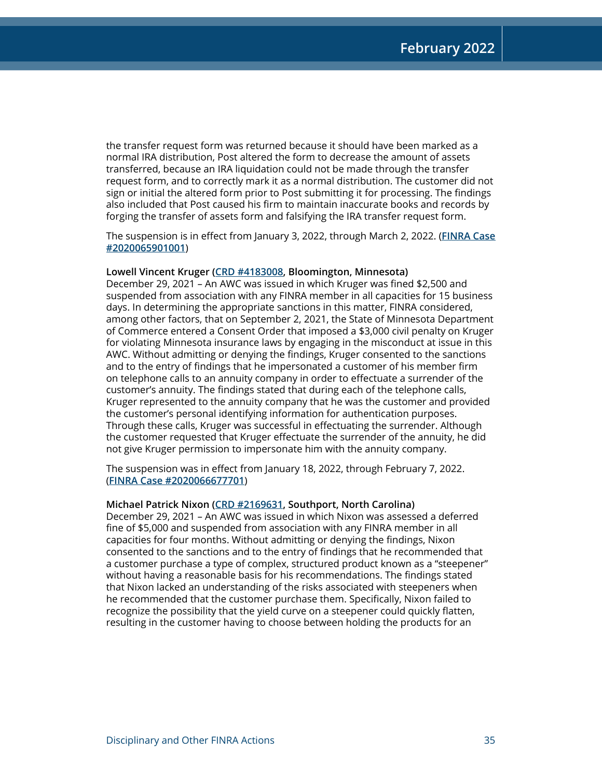the transfer request form was returned because it should have been marked as a normal IRA distribution, Post altered the form to decrease the amount of assets transferred, because an IRA liquidation could not be made through the transfer request form, and to correctly mark it as a normal distribution. The customer did not sign or initial the altered form prior to Post submitting it for processing. The findings also included that Post caused his firm to maintain inaccurate books and records by forging the transfer of assets form and falsifying the IRA transfer request form.

The suspension is in effect from January 3, 2022, through March 2, 2022. (**[FINRA Case](https://www.finra.org/rules-guidance/oversight-enforcement/finra-disciplinary-actions?search=2020065901001) [#2020065901001](https://www.finra.org/rules-guidance/oversight-enforcement/finra-disciplinary-actions?search=2020065901001)**)

#### **Lowell Vincent Kruger [\(CRD #4183008](http://brokercheck.finra.org/individual/summary/4183008), Bloomington, Minnesota)**

December 29, 2021 – An AWC was issued in which Kruger was fined \$2,500 and suspended from association with any FINRA member in all capacities for 15 business days. In determining the appropriate sanctions in this matter, FINRA considered, among other factors, that on September 2, 2021, the State of Minnesota Department of Commerce entered a Consent Order that imposed a \$3,000 civil penalty on Kruger for violating Minnesota insurance laws by engaging in the misconduct at issue in this AWC. Without admitting or denying the findings, Kruger consented to the sanctions and to the entry of findings that he impersonated a customer of his member firm on telephone calls to an annuity company in order to effectuate a surrender of the customer's annuity. The findings stated that during each of the telephone calls, Kruger represented to the annuity company that he was the customer and provided the customer's personal identifying information for authentication purposes. Through these calls, Kruger was successful in effectuating the surrender. Although the customer requested that Kruger effectuate the surrender of the annuity, he did not give Kruger permission to impersonate him with the annuity company.

The suspension was in effect from January 18, 2022, through February 7, 2022. (**[FINRA Case #2020066677701](https://www.finra.org/rules-guidance/oversight-enforcement/finra-disciplinary-actions?search=2020066677701)**)

#### **Michael Patrick Nixon ([CRD #2169631,](http://brokercheck.finra.org/individual/summary/2169631) Southport, North Carolina)**

December 29, 2021 – An AWC was issued in which Nixon was assessed a deferred fine of \$5,000 and suspended from association with any FINRA member in all capacities for four months. Without admitting or denying the findings, Nixon consented to the sanctions and to the entry of findings that he recommended that a customer purchase a type of complex, structured product known as a "steepener" without having a reasonable basis for his recommendations. The findings stated that Nixon lacked an understanding of the risks associated with steepeners when he recommended that the customer purchase them. Specifically, Nixon failed to recognize the possibility that the yield curve on a steepener could quickly flatten, resulting in the customer having to choose between holding the products for an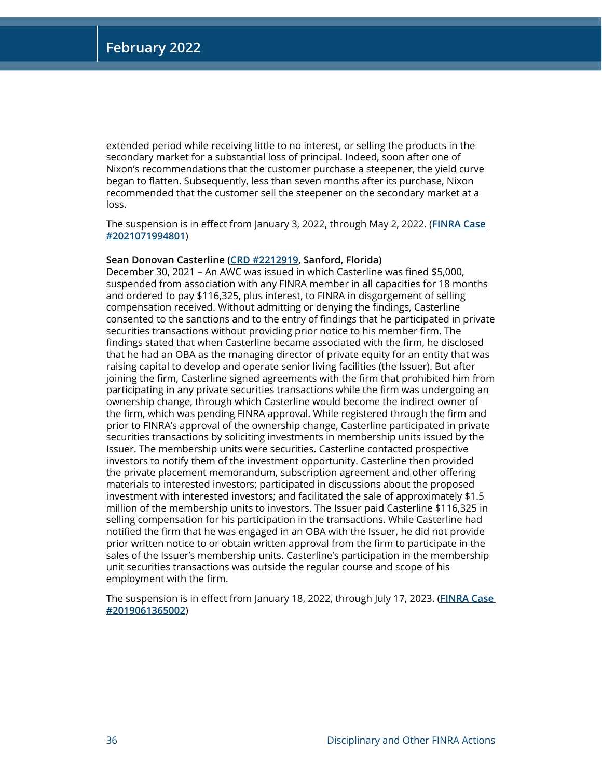extended period while receiving little to no interest, or selling the products in the secondary market for a substantial loss of principal. Indeed, soon after one of Nixon's recommendations that the customer purchase a steepener, the yield curve began to flatten. Subsequently, less than seven months after its purchase, Nixon recommended that the customer sell the steepener on the secondary market at a loss.

The suspension is in effect from January 3, 2022, through May 2, 2022. (**[FINRA Case](https://www.finra.org/rules-guidance/oversight-enforcement/finra-disciplinary-actions?search=2021071994801)  [#2021071994801](https://www.finra.org/rules-guidance/oversight-enforcement/finra-disciplinary-actions?search=2021071994801)**)

#### **Sean Donovan Casterline [\(CRD #2212919,](http://brokercheck.finra.org/individual/summary/2212919) Sanford, Florida)**

December 30, 2021 – An AWC was issued in which Casterline was fined \$5,000, suspended from association with any FINRA member in all capacities for 18 months and ordered to pay \$116,325, plus interest, to FINRA in disgorgement of selling compensation received. Without admitting or denying the findings, Casterline consented to the sanctions and to the entry of findings that he participated in private securities transactions without providing prior notice to his member firm. The findings stated that when Casterline became associated with the firm, he disclosed that he had an OBA as the managing director of private equity for an entity that was raising capital to develop and operate senior living facilities (the Issuer). But after joining the firm, Casterline signed agreements with the firm that prohibited him from participating in any private securities transactions while the firm was undergoing an ownership change, through which Casterline would become the indirect owner of the firm, which was pending FINRA approval. While registered through the firm and prior to FINRA's approval of the ownership change, Casterline participated in private securities transactions by soliciting investments in membership units issued by the Issuer. The membership units were securities. Casterline contacted prospective investors to notify them of the investment opportunity. Casterline then provided the private placement memorandum, subscription agreement and other offering materials to interested investors; participated in discussions about the proposed investment with interested investors; and facilitated the sale of approximately \$1.5 million of the membership units to investors. The Issuer paid Casterline \$116,325 in selling compensation for his participation in the transactions. While Casterline had notified the firm that he was engaged in an OBA with the Issuer, he did not provide prior written notice to or obtain written approval from the firm to participate in the sales of the Issuer's membership units. Casterline's participation in the membership unit securities transactions was outside the regular course and scope of his employment with the firm.

The suspension is in effect from January 18, 2022, through July 17, 2023. (**[FINRA Case](https://www.finra.org/rules-guidance/oversight-enforcement/finra-disciplinary-actions?search=2019061365002)  [#2019061365002](https://www.finra.org/rules-guidance/oversight-enforcement/finra-disciplinary-actions?search=2019061365002)**)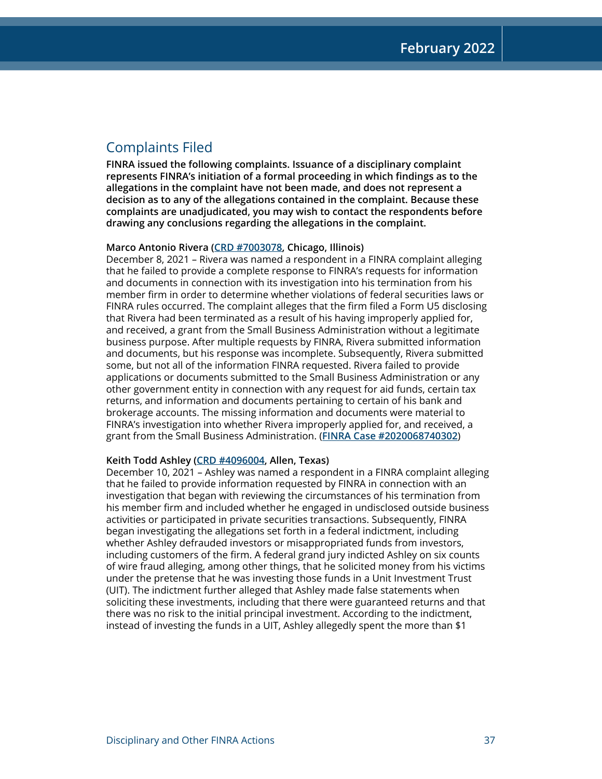## Complaints Filed

**FINRA issued the following complaints. Issuance of a disciplinary complaint represents FINRA's initiation of a formal proceeding in which findings as to the allegations in the complaint have not been made, and does not represent a decision as to any of the allegations contained in the complaint. Because these complaints are unadjudicated, you may wish to contact the respondents before drawing any conclusions regarding the allegations in the complaint.**

#### **Marco Antonio Rivera [\(CRD #7003078](http://brokercheck.finra.org/individual/summary/7003078), Chicago, Illinois)**

December 8, 2021 – Rivera was named a respondent in a FINRA complaint alleging that he failed to provide a complete response to FINRA's requests for information and documents in connection with its investigation into his termination from his member firm in order to determine whether violations of federal securities laws or FINRA rules occurred. The complaint alleges that the firm filed a Form U5 disclosing that Rivera had been terminated as a result of his having improperly applied for, and received, a grant from the Small Business Administration without a legitimate business purpose. After multiple requests by FINRA, Rivera submitted information and documents, but his response was incomplete. Subsequently, Rivera submitted some, but not all of the information FINRA requested. Rivera failed to provide applications or documents submitted to the Small Business Administration or any other government entity in connection with any request for aid funds, certain tax returns, and information and documents pertaining to certain of his bank and brokerage accounts. The missing information and documents were material to FINRA's investigation into whether Rivera improperly applied for, and received, a grant from the Small Business Administration. (**[FINRA Case #2020068740302](https://www.finra.org/rules-guidance/oversight-enforcement/finra-disciplinary-actions?search=2020068740302)**)

#### **Keith Todd Ashley [\(CRD #4096004](http://brokercheck.finra.org/individual/summary/4096004), Allen, Texas)**

December 10, 2021 – Ashley was named a respondent in a FINRA complaint alleging that he failed to provide information requested by FINRA in connection with an investigation that began with reviewing the circumstances of his termination from his member firm and included whether he engaged in undisclosed outside business activities or participated in private securities transactions. Subsequently, FINRA began investigating the allegations set forth in a federal indictment, including whether Ashley defrauded investors or misappropriated funds from investors, including customers of the firm. A federal grand jury indicted Ashley on six counts of wire fraud alleging, among other things, that he solicited money from his victims under the pretense that he was investing those funds in a Unit Investment Trust (UIT). The indictment further alleged that Ashley made false statements when soliciting these investments, including that there were guaranteed returns and that there was no risk to the initial principal investment. According to the indictment, instead of investing the funds in a UIT, Ashley allegedly spent the more than \$1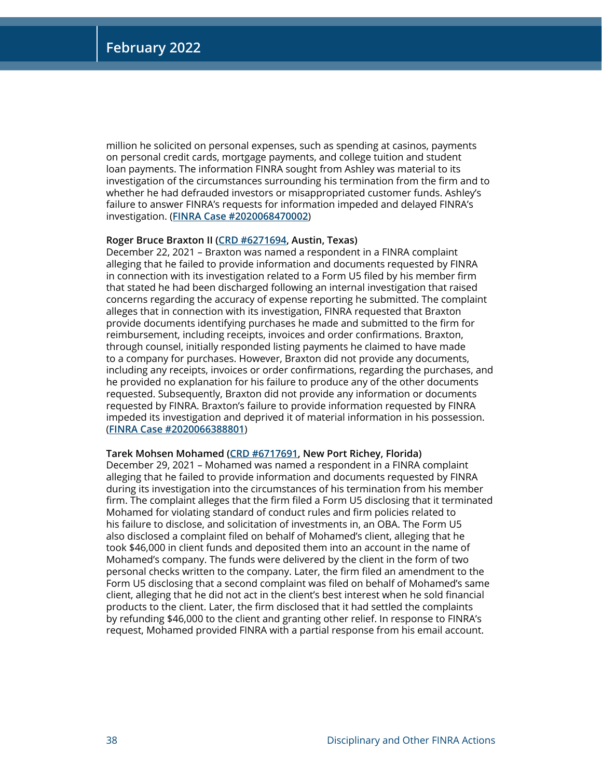million he solicited on personal expenses, such as spending at casinos, payments on personal credit cards, mortgage payments, and college tuition and student loan payments. The information FINRA sought from Ashley was material to its investigation of the circumstances surrounding his termination from the firm and to whether he had defrauded investors or misappropriated customer funds. Ashley's failure to answer FINRA's requests for information impeded and delayed FINRA's investigation. (**[FINRA Case #2020068470002](https://www.finra.org/rules-guidance/oversight-enforcement/finra-disciplinary-actions?search=2020068470002)**)

#### **Roger Bruce Braxton II [\(CRD #6271694](http://brokercheck.finra.org/individual/summary/6271694), Austin, Texas)**

December 22, 2021 – Braxton was named a respondent in a FINRA complaint alleging that he failed to provide information and documents requested by FINRA in connection with its investigation related to a Form U5 filed by his member firm that stated he had been discharged following an internal investigation that raised concerns regarding the accuracy of expense reporting he submitted. The complaint alleges that in connection with its investigation, FINRA requested that Braxton provide documents identifying purchases he made and submitted to the firm for reimbursement, including receipts, invoices and order confirmations. Braxton, through counsel, initially responded listing payments he claimed to have made to a company for purchases. However, Braxton did not provide any documents, including any receipts, invoices or order confirmations, regarding the purchases, and he provided no explanation for his failure to produce any of the other documents requested. Subsequently, Braxton did not provide any information or documents requested by FINRA. Braxton's failure to provide information requested by FINRA impeded its investigation and deprived it of material information in his possession. (**[FINRA Case #2020066388801](https://www.finra.org/rules-guidance/oversight-enforcement/finra-disciplinary-actions?search=2020066388801)**)

#### **Tarek Mohsen Mohamed ([CRD #6717691,](http://brokercheck.finra.org/individual/summary/6717691) New Port Richey, Florida)**

December 29, 2021 – Mohamed was named a respondent in a FINRA complaint alleging that he failed to provide information and documents requested by FINRA during its investigation into the circumstances of his termination from his member firm. The complaint alleges that the firm filed a Form U5 disclosing that it terminated Mohamed for violating standard of conduct rules and firm policies related to his failure to disclose, and solicitation of investments in, an OBA. The Form U5 also disclosed a complaint filed on behalf of Mohamed's client, alleging that he took \$46,000 in client funds and deposited them into an account in the name of Mohamed's company. The funds were delivered by the client in the form of two personal checks written to the company. Later, the firm filed an amendment to the Form U5 disclosing that a second complaint was filed on behalf of Mohamed's same client, alleging that he did not act in the client's best interest when he sold financial products to the client. Later, the firm disclosed that it had settled the complaints by refunding \$46,000 to the client and granting other relief. In response to FINRA's request, Mohamed provided FINRA with a partial response from his email account.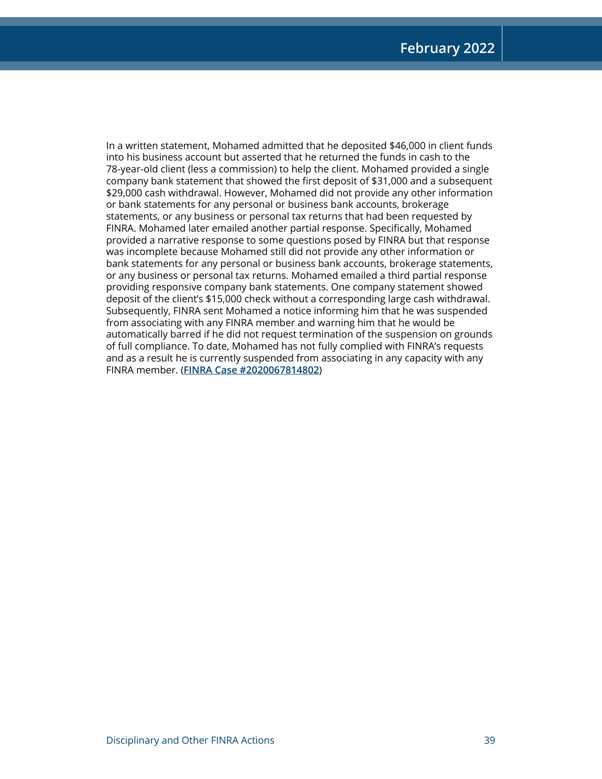In a written statement, Mohamed admitted that he deposited \$46,000 in client funds into his business account but asserted that he returned the funds in cash to the 78-year-old client (less a commission) to help the client. Mohamed provided a single company bank statement that showed the first deposit of \$31,000 and a subsequent \$29,000 cash withdrawal. However, Mohamed did not provide any other information or bank statements for any personal or business bank accounts, brokerage statements, or any business or personal tax returns that had been requested by FINRA. Mohamed later emailed another partial response. Specifically, Mohamed provided a narrative response to some questions posed by FINRA but that response was incomplete because Mohamed still did not provide any other information or bank statements for any personal or business bank accounts, brokerage statements, or any business or personal tax returns. Mohamed emailed a third partial response providing responsive company bank statements. One company statement showed deposit of the client's \$15,000 check without a corresponding large cash withdrawal. Subsequently, FINRA sent Mohamed a notice informing him that he was suspended from associating with any FINRA member and warning him that he would be automatically barred if he did not request termination of the suspension on grounds of full compliance. To date, Mohamed has not fully complied with FINRA's requests and as a result he is currently suspended from associating in any capacity with any FINRA member. (**[FINRA Case #2020067814802](https://www.finra.org/rules-guidance/oversight-enforcement/finra-disciplinary-actions?search=2020067814802)**)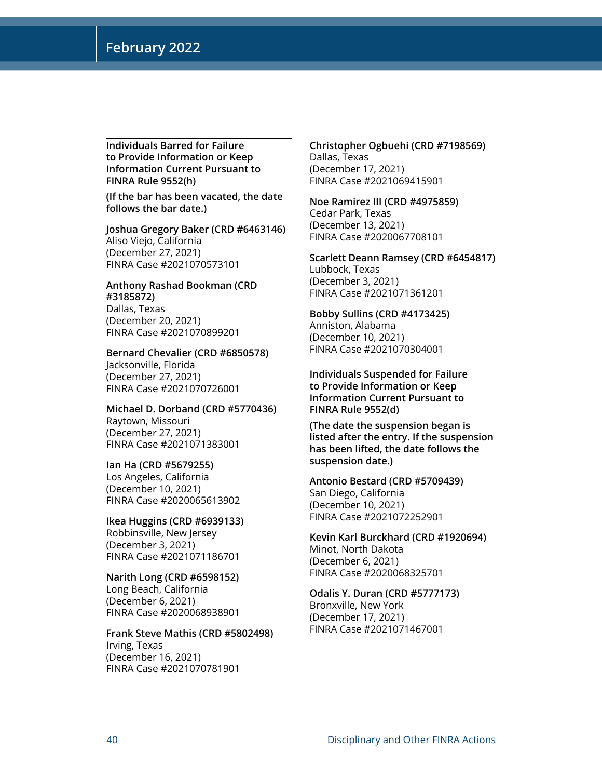**Individuals Barred for Failure to Provide Information or Keep Information Current Pursuant to FINRA Rule 9552(h)**

**(If the bar has been vacated, the date follows the bar date.)**

**Joshua Gregory Baker (CRD #6463146)** Aliso Viejo, California (December 27, 2021) FINRA Case #2021070573101

#### **Anthony Rashad Bookman (CRD #3185872)** Dallas, Texas

(December 20, 2021) FINRA Case #2021070899201

#### **Bernard Chevalier (CRD #6850578)** Jacksonville, Florida

(December 27, 2021) FINRA Case #2021070726001

#### **Michael D. Dorband (CRD #5770436)**

Raytown, Missouri (December 27, 2021) FINRA Case #2021071383001

#### **Ian Ha (CRD #5679255)**

Los Angeles, California (December 10, 2021) FINRA Case #2020065613902

#### **Ikea Huggins (CRD #6939133)** Robbinsville, New Jersey

(December 3, 2021) FINRA Case #2021071186701

**Narith Long (CRD #6598152)** Long Beach, California (December 6, 2021) FINRA Case #2020068938901

#### **Frank Steve Mathis (CRD #5802498)** Irving, Texas (December 16, 2021)

FINRA Case #2021070781901

#### **Christopher Ogbuehi (CRD #7198569)** Dallas, Texas (December 17, 2021) FINRA Case #2021069415901

#### **Noe Ramirez III (CRD #4975859)** Cedar Park, Texas (December 13, 2021)

FINRA Case #2020067708101

#### **Scarlett Deann Ramsey (CRD #6454817)** Lubbock, Texas (December 3, 2021) FINRA Case #2021071361201

#### **Bobby Sullins (CRD #4173425)** Anniston, Alabama (December 10, 2021) FINRA Case #2021070304001

**Individuals Suspended for Failure to Provide Information or Keep Information Current Pursuant to FINRA Rule 9552(d)** 

**(The date the suspension began is listed after the entry. If the suspension has been lifted, the date follows the suspension date.)**

#### **Antonio Bestard (CRD #5709439)** San Diego, California (December 10, 2021) FINRA Case #2021072252901

#### **Kevin Karl Burckhard (CRD #1920694)** Minot, North Dakota (December 6, 2021) FINRA Case #2020068325701

#### **Odalis Y. Duran (CRD #5777173)** Bronxville, New York (December 17, 2021) FINRA Case #2021071467001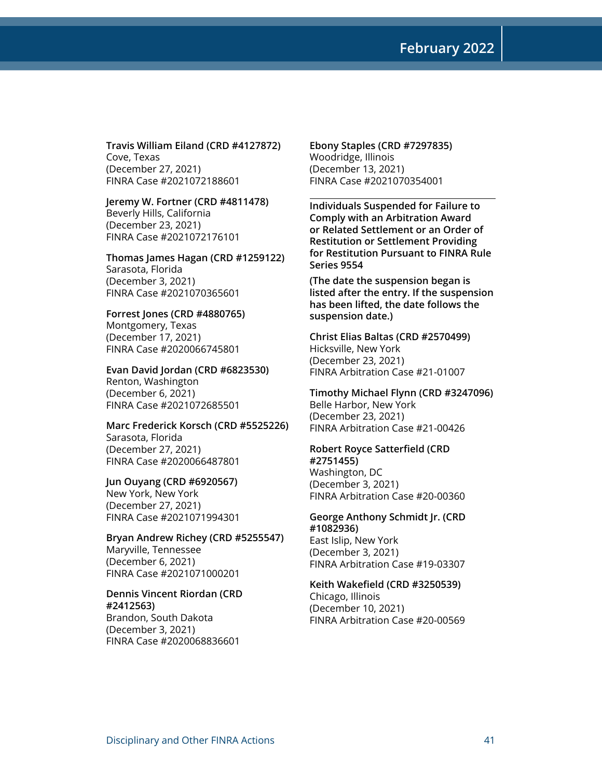**Travis William Eiland (CRD #4127872)** Cove, Texas (December 27, 2021) FINRA Case #2021072188601

**Jeremy W. Fortner (CRD #4811478)** Beverly Hills, California (December 23, 2021) FINRA Case #2021072176101

**Thomas James Hagan (CRD #1259122)** Sarasota, Florida (December 3, 2021) FINRA Case #2021070365601

**Forrest Jones (CRD #4880765)** Montgomery, Texas (December 17, 2021) FINRA Case #2020066745801

**Evan David Jordan (CRD #6823530)** Renton, Washington (December 6, 2021) FINRA Case #2021072685501

**Marc Frederick Korsch (CRD #5525226)** Sarasota, Florida (December 27, 2021) FINRA Case #2020066487801

**Jun Ouyang (CRD #6920567)** New York, New York (December 27, 2021) FINRA Case #2021071994301

**Bryan Andrew Richey (CRD #5255547)** Maryville, Tennessee (December 6, 2021) FINRA Case #2021071000201

#### **Dennis Vincent Riordan (CRD #2412563)**

Brandon, South Dakota (December 3, 2021) FINRA Case #2020068836601

**Ebony Staples (CRD #7297835)** Woodridge, Illinois (December 13, 2021) FINRA Case #2021070354001

**Individuals Suspended for Failure to Comply with an Arbitration Award or Related Settlement or an Order of Restitution or Settlement Providing for Restitution Pursuant to FINRA Rule Series 9554** 

**(The date the suspension began is listed after the entry. If the suspension has been lifted, the date follows the suspension date.)**

**Christ Elias Baltas (CRD #2570499)** Hicksville, New York (December 23, 2021) FINRA Arbitration Case #21-01007

**Timothy Michael Flynn (CRD #3247096)** Belle Harbor, New York (December 23, 2021) FINRA Arbitration Case #21-00426

**Robert Royce Satterfield (CRD** 

**#2751455)** Washington, DC (December 3, 2021) FINRA Arbitration Case #20-00360

**George Anthony Schmidt Jr. (CRD #1082936)** East Islip, New York (December 3, 2021)

FINRA Arbitration Case #19-03307

**Keith Wakefield (CRD #3250539)** Chicago, Illinois

(December 10, 2021) FINRA Arbitration Case #20-00569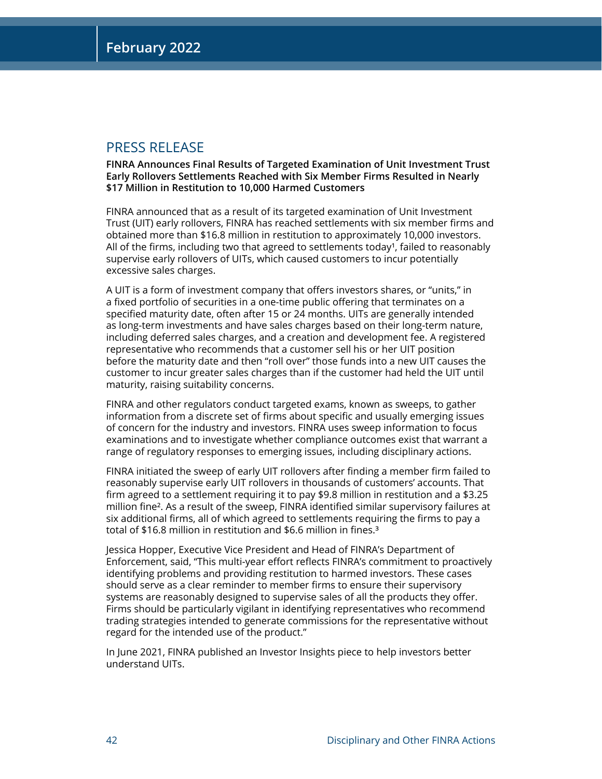### PRESS RELEASE

**FINRA Announces Final Results of Targeted Examination of Unit Investment Trust Early Rollovers Settlements Reached with Six Member Firms Resulted in Nearly \$17 Million in Restitution to 10,000 Harmed Customers**

FINRA announced that as a result of its targeted examination of Unit Investment Trust (UIT) early rollovers, FINRA has reached settlements with six member firms and obtained more than \$16.8 million in restitution to approximately 10,000 investors. All of the firms, including two that agreed to settlements today<sup>1</sup>, failed to reasonably supervise early rollovers of UITs, which caused customers to incur potentially excessive sales charges.

A UIT is a form of investment company that offers investors shares, or "units," in a fixed portfolio of securities in a one-time public offering that terminates on a specified maturity date, often after 15 or 24 months. UITs are generally intended as long-term investments and have sales charges based on their long-term nature, including deferred sales charges, and a creation and development fee. A registered representative who recommends that a customer sell his or her UIT position before the maturity date and then "roll over" those funds into a new UIT causes the customer to incur greater sales charges than if the customer had held the UIT until maturity, raising suitability concerns.

FINRA and other regulators conduct targeted exams, known as sweeps, to gather information from a discrete set of firms about specific and usually emerging issues of concern for the industry and investors. FINRA uses sweep information to focus examinations and to investigate whether compliance outcomes exist that warrant a range of regulatory responses to emerging issues, including disciplinary actions.

FINRA initiated the sweep of early UIT rollovers after finding a member firm failed to reasonably supervise early UIT rollovers in thousands of customers' accounts. That firm agreed to a settlement requiring it to pay \$9.8 million in restitution and a \$3.25 million fine². As a result of the sweep, FINRA identified similar supervisory failures at six additional firms, all of which agreed to settlements requiring the firms to pay a total of \$16.8 million in restitution and \$6.6 million in fines.<sup>3</sup>

Jessica Hopper, Executive Vice President and Head of FINRA's Department of Enforcement, said, "This multi-year effort reflects FINRA's commitment to proactively identifying problems and providing restitution to harmed investors. These cases should serve as a clear reminder to member firms to ensure their supervisory systems are reasonably designed to supervise sales of all the products they offer. Firms should be particularly vigilant in identifying representatives who recommend trading strategies intended to generate commissions for the representative without regard for the intended use of the product."

In June 2021, FINRA published an Investor Insights piece to help investors better understand UITs.